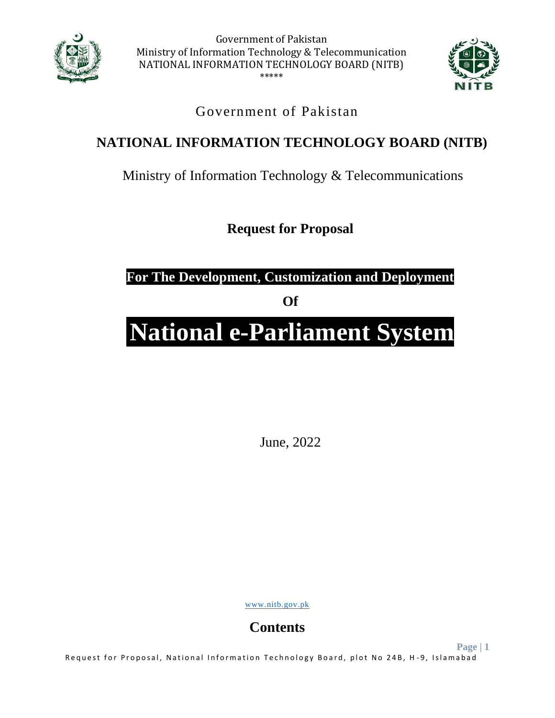



**Page | 1**

### Government of Pakistan

## **NATIONAL INFORMATION TECHNOLOGY BOARD (NITB)**

Ministry of Information Technology & Telecommunications

**Request for Proposal**

**For The Development, Customization and Deployment** 

**Of**

# **National e-Parliament System**

June, 2022

[www.nitb.gov.pk](http://www.nitb.gov.pk/)

**Contents**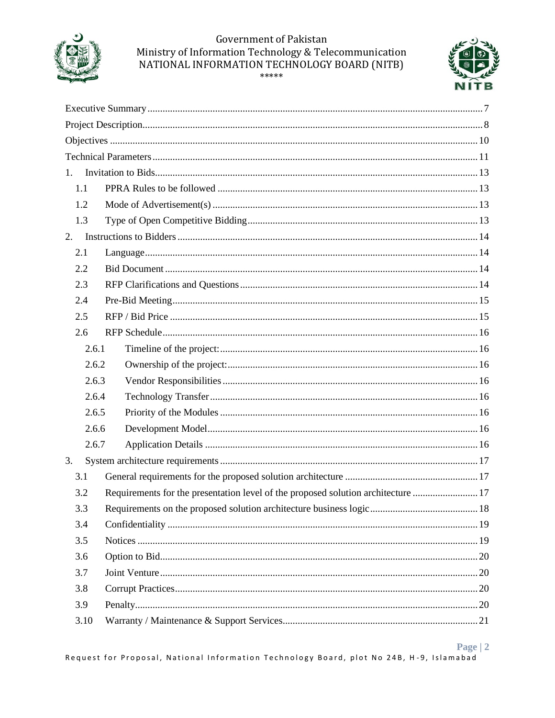



| 1.    |                                                                                   |  |
|-------|-----------------------------------------------------------------------------------|--|
| 1.1   |                                                                                   |  |
| 1.2   |                                                                                   |  |
| 1.3   |                                                                                   |  |
| 2.    |                                                                                   |  |
| 2.1   |                                                                                   |  |
| 2.2   |                                                                                   |  |
| 2.3   |                                                                                   |  |
| 2.4   |                                                                                   |  |
| 2.5   |                                                                                   |  |
| 2.6   |                                                                                   |  |
| 2.6.1 |                                                                                   |  |
| 2.6.2 |                                                                                   |  |
| 2.6.3 |                                                                                   |  |
| 2.6.4 |                                                                                   |  |
| 2.6.5 |                                                                                   |  |
| 2.6.6 |                                                                                   |  |
| 2.6.7 |                                                                                   |  |
| 3.    |                                                                                   |  |
| 3.1   |                                                                                   |  |
| 3.2   | Requirements for the presentation level of the proposed solution architecture  17 |  |
| 3.3   |                                                                                   |  |
| 3.4   |                                                                                   |  |
| 3.5   |                                                                                   |  |
| 3.6   |                                                                                   |  |
| 3.7   |                                                                                   |  |
| 3.8   |                                                                                   |  |
| 3.9   |                                                                                   |  |
| 3.10  |                                                                                   |  |

#### Page  $|2|$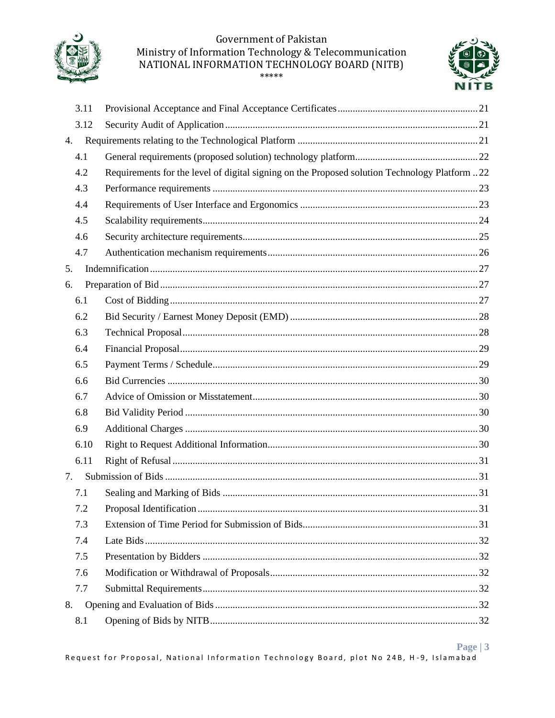



| 3.11 |                                                                                               |  |
|------|-----------------------------------------------------------------------------------------------|--|
| 3.12 |                                                                                               |  |
| 4.   |                                                                                               |  |
| 4.1  |                                                                                               |  |
| 4.2  | Requirements for the level of digital signing on the Proposed solution Technology Platform 22 |  |
| 4.3  |                                                                                               |  |
| 4.4  |                                                                                               |  |
| 4.5  |                                                                                               |  |
| 4.6  |                                                                                               |  |
| 4.7  |                                                                                               |  |
| 5.   |                                                                                               |  |
| 6.   |                                                                                               |  |
| 6.1  |                                                                                               |  |
| 6.2  |                                                                                               |  |
| 6.3  |                                                                                               |  |
| 6.4  |                                                                                               |  |
| 6.5  |                                                                                               |  |
| 6.6  |                                                                                               |  |
| 6.7  |                                                                                               |  |
| 6.8  |                                                                                               |  |
| 6.9  |                                                                                               |  |
| 6.10 |                                                                                               |  |
| 6.11 |                                                                                               |  |
| 7.   |                                                                                               |  |
| 7.1  |                                                                                               |  |
| 7.2  |                                                                                               |  |
| 7.3  |                                                                                               |  |
| 7.4  |                                                                                               |  |
| 7.5  |                                                                                               |  |
| 7.6  |                                                                                               |  |
| 7.7  |                                                                                               |  |
| 8.   |                                                                                               |  |
| 8.1  |                                                                                               |  |

#### Page  $|3|$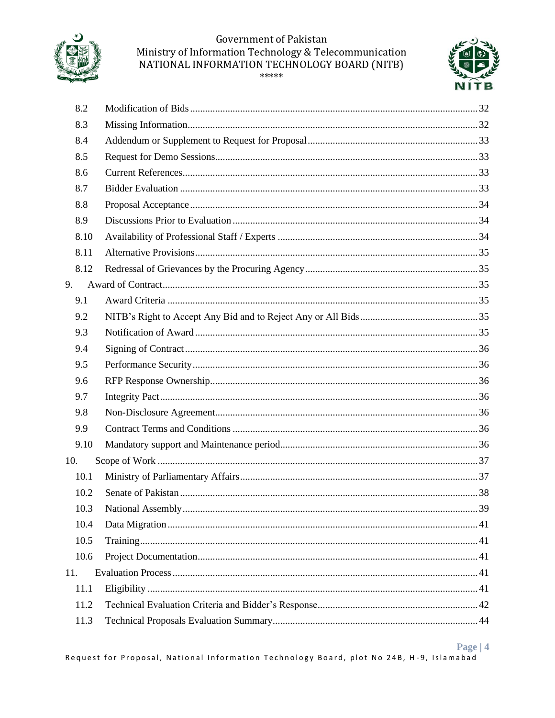



|     | 8.2  |  |
|-----|------|--|
|     | 8.3  |  |
|     | 8.4  |  |
|     | 8.5  |  |
|     | 8.6  |  |
|     | 8.7  |  |
|     | 8.8  |  |
|     | 8.9  |  |
|     | 8.10 |  |
|     | 8.11 |  |
|     | 8.12 |  |
| 9.  |      |  |
|     | 9.1  |  |
|     | 9.2  |  |
|     | 9.3  |  |
|     | 9.4  |  |
|     | 9.5  |  |
|     | 9.6  |  |
|     | 9.7  |  |
|     | 9.8  |  |
|     | 9.9  |  |
|     | 9.10 |  |
|     | 10.  |  |
|     | 10.1 |  |
|     | 10.2 |  |
|     | 10.3 |  |
|     | 10.4 |  |
|     | 10.5 |  |
|     | 10.6 |  |
| 11. |      |  |
|     | 11.1 |  |
|     | 11.2 |  |
|     | 11.3 |  |

#### Page |  $4$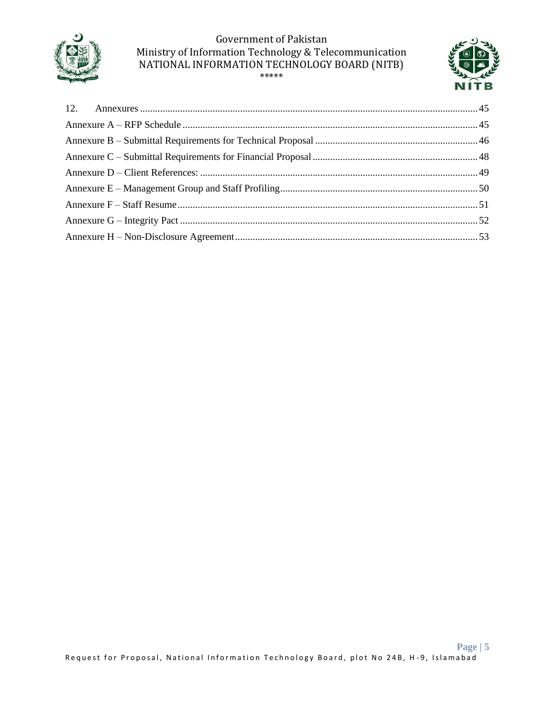

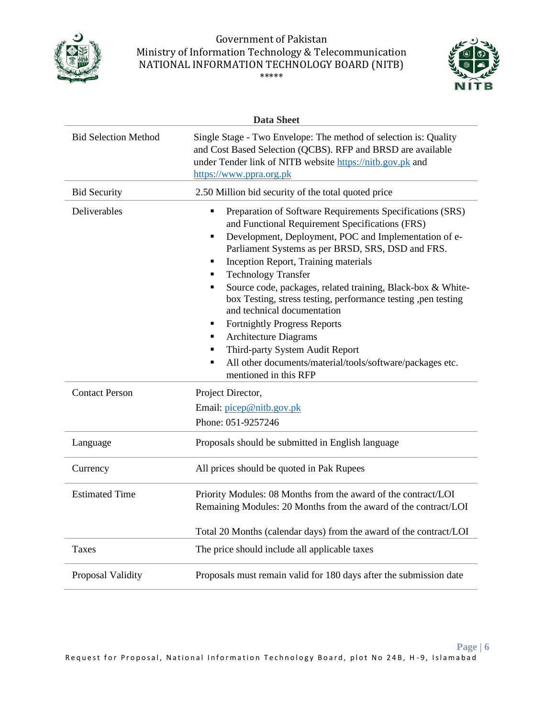



|                             | <b>Data Sheet</b>                                                                                                                                                                                                                                                                                                                                                                                                                                                                                                                                                                                                                                                                   |
|-----------------------------|-------------------------------------------------------------------------------------------------------------------------------------------------------------------------------------------------------------------------------------------------------------------------------------------------------------------------------------------------------------------------------------------------------------------------------------------------------------------------------------------------------------------------------------------------------------------------------------------------------------------------------------------------------------------------------------|
| <b>Bid Selection Method</b> | Single Stage - Two Envelope: The method of selection is: Quality<br>and Cost Based Selection (QCBS). RFP and BRSD are available<br>under Tender link of NITB website https://nitb.gov.pk and<br>https://www.ppra.org.pk                                                                                                                                                                                                                                                                                                                                                                                                                                                             |
| <b>Bid Security</b>         | 2.50 Million bid security of the total quoted price                                                                                                                                                                                                                                                                                                                                                                                                                                                                                                                                                                                                                                 |
| Deliverables                | Preparation of Software Requirements Specifications (SRS)<br>and Functional Requirement Specifications (FRS)<br>Development, Deployment, POC and Implementation of e-<br>п<br>Parliament Systems as per BRSD, SRS, DSD and FRS.<br>Inception Report, Training materials<br>٠<br><b>Technology Transfer</b><br>Source code, packages, related training, Black-box & White-<br>box Testing, stress testing, performance testing, pen testing<br>and technical documentation<br><b>Fortnightly Progress Reports</b><br>п<br><b>Architecture Diagrams</b><br>п<br>Third-party System Audit Report<br>All other documents/material/tools/software/packages etc.<br>mentioned in this RFP |
| <b>Contact Person</b>       | Project Director,                                                                                                                                                                                                                                                                                                                                                                                                                                                                                                                                                                                                                                                                   |
|                             | Email: picep@nitb.gov.pk                                                                                                                                                                                                                                                                                                                                                                                                                                                                                                                                                                                                                                                            |
|                             | Phone: 051-9257246                                                                                                                                                                                                                                                                                                                                                                                                                                                                                                                                                                                                                                                                  |
| Language                    | Proposals should be submitted in English language                                                                                                                                                                                                                                                                                                                                                                                                                                                                                                                                                                                                                                   |
| Currency                    | All prices should be quoted in Pak Rupees                                                                                                                                                                                                                                                                                                                                                                                                                                                                                                                                                                                                                                           |
| <b>Estimated Time</b>       | Priority Modules: 08 Months from the award of the contract/LOI<br>Remaining Modules: 20 Months from the award of the contract/LOI                                                                                                                                                                                                                                                                                                                                                                                                                                                                                                                                                   |
|                             | Total 20 Months (calendar days) from the award of the contract/LOI                                                                                                                                                                                                                                                                                                                                                                                                                                                                                                                                                                                                                  |
| Taxes                       | The price should include all applicable taxes                                                                                                                                                                                                                                                                                                                                                                                                                                                                                                                                                                                                                                       |
| Proposal Validity           | Proposals must remain valid for 180 days after the submission date                                                                                                                                                                                                                                                                                                                                                                                                                                                                                                                                                                                                                  |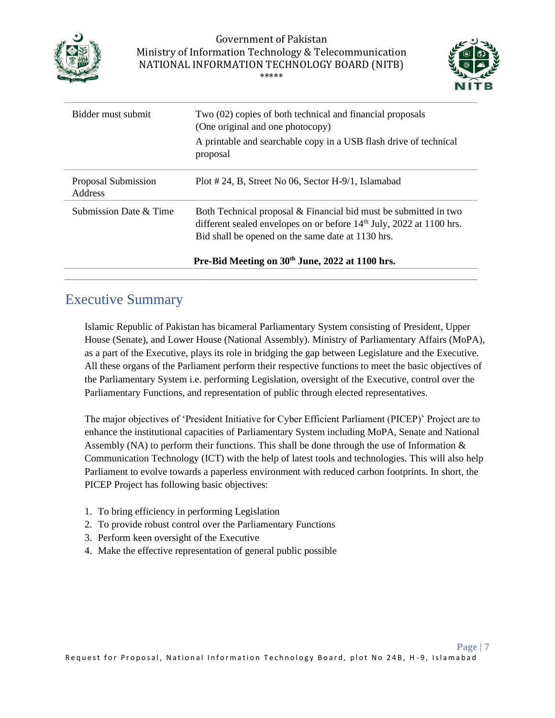



| Bidder must submit             | Two (02) copies of both technical and financial proposals<br>(One original and one photocopy)                                                                                                             |
|--------------------------------|-----------------------------------------------------------------------------------------------------------------------------------------------------------------------------------------------------------|
|                                | A printable and searchable copy in a USB flash drive of technical<br>proposal                                                                                                                             |
| Proposal Submission<br>Address | Plot # 24, B, Street No 06, Sector H-9/1, Islamabad                                                                                                                                                       |
| Submission Date & Time         | Both Technical proposal & Financial bid must be submitted in two<br>different sealed envelopes on or before 14 <sup>th</sup> July, 2022 at 1100 hrs.<br>Bid shall be opened on the same date at 1130 hrs. |
|                                | Pre-Bid Meeting on 30 <sup>th</sup> June, 2022 at 1100 hrs.                                                                                                                                               |

### <span id="page-6-0"></span>Executive Summary

Islamic Republic of Pakistan has bicameral Parliamentary System consisting of President, Upper House (Senate), and Lower House (National Assembly). Ministry of Parliamentary Affairs (MoPA), as a part of the Executive, plays its role in bridging the gap between Legislature and the Executive. All these organs of the Parliament perform their respective functions to meet the basic objectives of the Parliamentary System i.e. performing Legislation, oversight of the Executive, control over the Parliamentary Functions, and representation of public through elected representatives.

The major objectives of 'President Initiative for Cyber Efficient Parliament (PICEP)' Project are to enhance the institutional capacities of Parliamentary System including MoPA, Senate and National Assembly (NA) to perform their functions. This shall be done through the use of Information  $\&$ Communication Technology (ICT) with the help of latest tools and technologies. This will also help Parliament to evolve towards a paperless environment with reduced carbon footprints. In short, the PICEP Project has following basic objectives:

- 1. To bring efficiency in performing Legislation
- 2. To provide robust control over the Parliamentary Functions
- 3. Perform keen oversight of the Executive
- 4. Make the effective representation of general public possible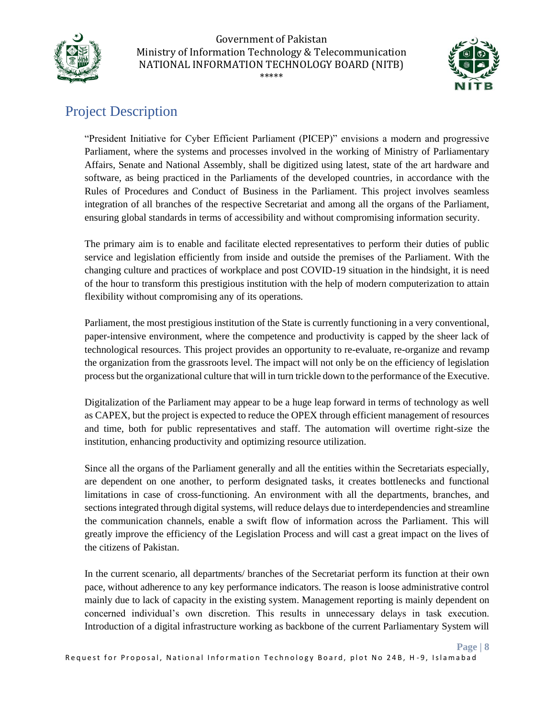



**Page | 8**

## <span id="page-7-0"></span>Project Description

"President Initiative for Cyber Efficient Parliament (PICEP)" envisions a modern and progressive Parliament, where the systems and processes involved in the working of Ministry of Parliamentary Affairs, Senate and National Assembly, shall be digitized using latest, state of the art hardware and software, as being practiced in the Parliaments of the developed countries, in accordance with the Rules of Procedures and Conduct of Business in the Parliament. This project involves seamless integration of all branches of the respective Secretariat and among all the organs of the Parliament, ensuring global standards in terms of accessibility and without compromising information security.

The primary aim is to enable and facilitate elected representatives to perform their duties of public service and legislation efficiently from inside and outside the premises of the Parliament. With the changing culture and practices of workplace and post COVID-19 situation in the hindsight, it is need of the hour to transform this prestigious institution with the help of modern computerization to attain flexibility without compromising any of its operations.

Parliament, the most prestigious institution of the State is currently functioning in a very conventional, paper-intensive environment, where the competence and productivity is capped by the sheer lack of technological resources. This project provides an opportunity to re-evaluate, re-organize and revamp the organization from the grassroots level. The impact will not only be on the efficiency of legislation process but the organizational culture that will in turn trickle down to the performance of the Executive.

Digitalization of the Parliament may appear to be a huge leap forward in terms of technology as well as CAPEX, but the project is expected to reduce the OPEX through efficient management of resources and time, both for public representatives and staff. The automation will overtime right-size the institution, enhancing productivity and optimizing resource utilization.

Since all the organs of the Parliament generally and all the entities within the Secretariats especially, are dependent on one another, to perform designated tasks, it creates bottlenecks and functional limitations in case of cross-functioning. An environment with all the departments, branches, and sections integrated through digital systems, will reduce delays due to interdependencies and streamline the communication channels, enable a swift flow of information across the Parliament. This will greatly improve the efficiency of the Legislation Process and will cast a great impact on the lives of the citizens of Pakistan.

In the current scenario, all departments/ branches of the Secretariat perform its function at their own pace, without adherence to any key performance indicators. The reason is loose administrative control mainly due to lack of capacity in the existing system. Management reporting is mainly dependent on concerned individual's own discretion. This results in unnecessary delays in task execution. Introduction of a digital infrastructure working as backbone of the current Parliamentary System will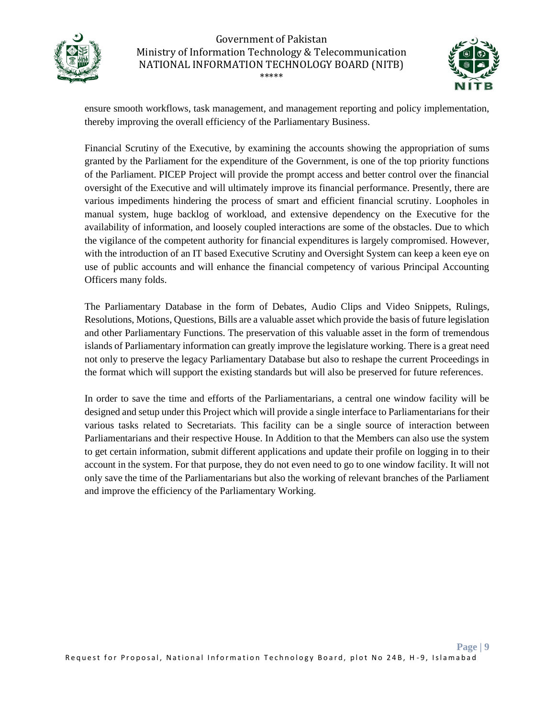



ensure smooth workflows, task management, and management reporting and policy implementation, thereby improving the overall efficiency of the Parliamentary Business.

Financial Scrutiny of the Executive, by examining the accounts showing the appropriation of sums granted by the Parliament for the expenditure of the Government, is one of the top priority functions of the Parliament. PICEP Project will provide the prompt access and better control over the financial oversight of the Executive and will ultimately improve its financial performance. Presently, there are various impediments hindering the process of smart and efficient financial scrutiny. Loopholes in manual system, huge backlog of workload, and extensive dependency on the Executive for the availability of information, and loosely coupled interactions are some of the obstacles. Due to which the vigilance of the competent authority for financial expenditures is largely compromised. However, with the introduction of an IT based Executive Scrutiny and Oversight System can keep a keen eye on use of public accounts and will enhance the financial competency of various Principal Accounting Officers many folds.

The Parliamentary Database in the form of Debates, Audio Clips and Video Snippets, Rulings, Resolutions, Motions, Questions, Bills are a valuable asset which provide the basis of future legislation and other Parliamentary Functions. The preservation of this valuable asset in the form of tremendous islands of Parliamentary information can greatly improve the legislature working. There is a great need not only to preserve the legacy Parliamentary Database but also to reshape the current Proceedings in the format which will support the existing standards but will also be preserved for future references.

In order to save the time and efforts of the Parliamentarians, a central one window facility will be designed and setup under this Project which will provide a single interface to Parliamentarians for their various tasks related to Secretariats. This facility can be a single source of interaction between Parliamentarians and their respective House. In Addition to that the Members can also use the system to get certain information, submit different applications and update their profile on logging in to their account in the system. For that purpose, they do not even need to go to one window facility. It will not only save the time of the Parliamentarians but also the working of relevant branches of the Parliament and improve the efficiency of the Parliamentary Working.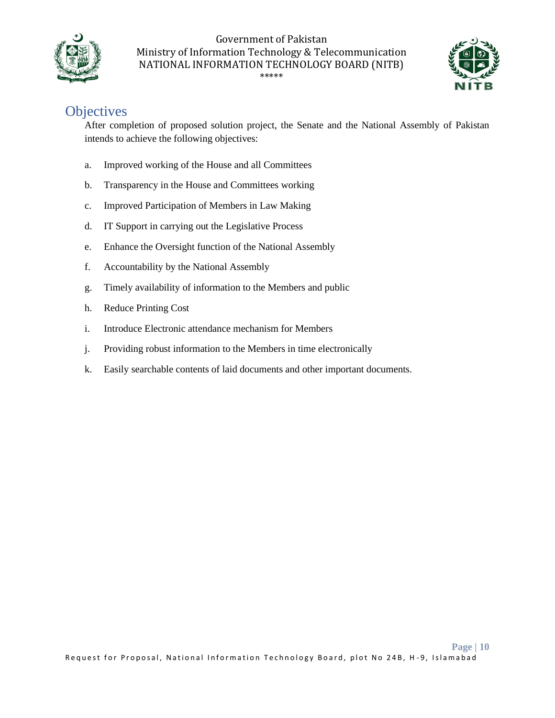



## <span id="page-9-0"></span>**Objectives**

After completion of proposed solution project, the Senate and the National Assembly of Pakistan intends to achieve the following objectives:

- a. Improved working of the House and all Committees
- b. Transparency in the House and Committees working
- c. Improved Participation of Members in Law Making
- d. IT Support in carrying out the Legislative Process
- e. Enhance the Oversight function of the National Assembly
- f. Accountability by the National Assembly
- g. Timely availability of information to the Members and public
- h. Reduce Printing Cost
- i. Introduce Electronic attendance mechanism for Members
- j. Providing robust information to the Members in time electronically
- k. Easily searchable contents of laid documents and other important documents.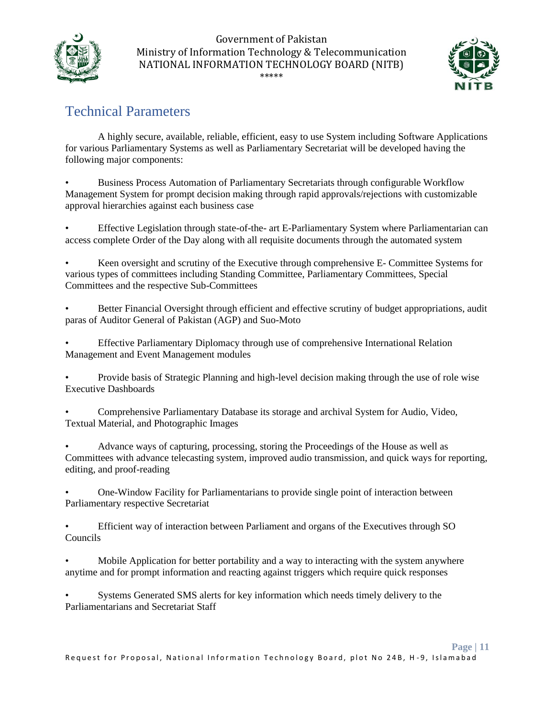



## <span id="page-10-0"></span>Technical Parameters

A highly secure, available, reliable, efficient, easy to use System including Software Applications for various Parliamentary Systems as well as Parliamentary Secretariat will be developed having the following major components:

• Business Process Automation of Parliamentary Secretariats through configurable Workflow Management System for prompt decision making through rapid approvals/rejections with customizable approval hierarchies against each business case

• Effective Legislation through state-of-the- art E-Parliamentary System where Parliamentarian can access complete Order of the Day along with all requisite documents through the automated system

• Keen oversight and scrutiny of the Executive through comprehensive E- Committee Systems for various types of committees including Standing Committee, Parliamentary Committees, Special Committees and the respective Sub-Committees

Better Financial Oversight through efficient and effective scrutiny of budget appropriations, audit paras of Auditor General of Pakistan (AGP) and Suo-Moto

• Effective Parliamentary Diplomacy through use of comprehensive International Relation Management and Event Management modules

• Provide basis of Strategic Planning and high-level decision making through the use of role wise Executive Dashboards

• Comprehensive Parliamentary Database its storage and archival System for Audio, Video, Textual Material, and Photographic Images

• Advance ways of capturing, processing, storing the Proceedings of the House as well as Committees with advance telecasting system, improved audio transmission, and quick ways for reporting, editing, and proof-reading

• One-Window Facility for Parliamentarians to provide single point of interaction between Parliamentary respective Secretariat

• Efficient way of interaction between Parliament and organs of the Executives through SO Councils

• Mobile Application for better portability and a way to interacting with the system anywhere anytime and for prompt information and reacting against triggers which require quick responses

• Systems Generated SMS alerts for key information which needs timely delivery to the Parliamentarians and Secretariat Staff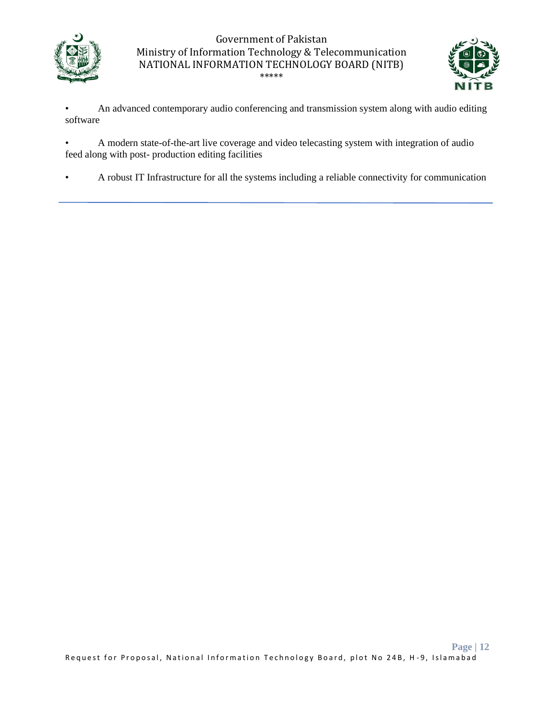



• An advanced contemporary audio conferencing and transmission system along with audio editing software

• A modern state-of-the-art live coverage and video telecasting system with integration of audio feed along with post- production editing facilities

• A robust IT Infrastructure for all the systems including a reliable connectivity for communication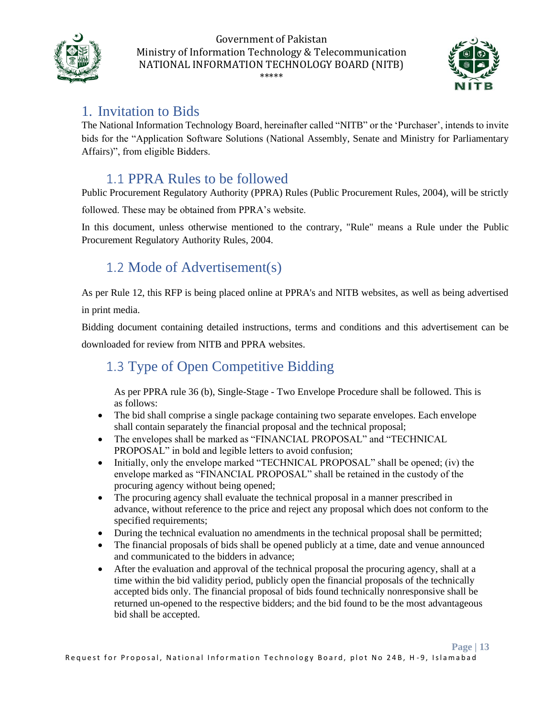



**Page | 13**

## <span id="page-12-0"></span>1. Invitation to Bids

The National Information Technology Board, hereinafter called "NITB" or the 'Purchaser', intends to invite bids for the "Application Software Solutions (National Assembly, Senate and Ministry for Parliamentary Affairs)", from eligible Bidders.

### <span id="page-12-1"></span>1.1 PPRA Rules to be followed

Public Procurement Regulatory Authority (PPRA) Rules (Public Procurement Rules, 2004), will be strictly

followed. These may be obtained from PPRA's website.

In this document, unless otherwise mentioned to the contrary, "Rule" means a Rule under the Public Procurement Regulatory Authority Rules, 2004.

## <span id="page-12-2"></span>1.2 Mode of Advertisement(s)

As per Rule 12, this RFP is being placed online at PPRA's and NITB websites, as well as being advertised in print media.

Bidding document containing detailed instructions, terms and conditions and this advertisement can be downloaded for review from NITB and PPRA websites.

## <span id="page-12-3"></span>1.3 Type of Open Competitive Bidding

As per PPRA rule 36 (b), Single-Stage - Two Envelope Procedure shall be followed. This is as follows:

- The bid shall comprise a single package containing two separate envelopes. Each envelope shall contain separately the financial proposal and the technical proposal;
- The envelopes shall be marked as "FINANCIAL PROPOSAL" and "TECHNICAL PROPOSAL" in bold and legible letters to avoid confusion;
- Initially, only the envelope marked "TECHNICAL PROPOSAL" shall be opened; (iv) the envelope marked as "FINANCIAL PROPOSAL" shall be retained in the custody of the procuring agency without being opened;
- The procuring agency shall evaluate the technical proposal in a manner prescribed in advance, without reference to the price and reject any proposal which does not conform to the specified requirements;
- During the technical evaluation no amendments in the technical proposal shall be permitted;
- The financial proposals of bids shall be opened publicly at a time, date and venue announced and communicated to the bidders in advance;
- After the evaluation and approval of the technical proposal the procuring agency, shall at a time within the bid validity period, publicly open the financial proposals of the technically accepted bids only. The financial proposal of bids found technically nonresponsive shall be returned un-opened to the respective bidders; and the bid found to be the most advantageous bid shall be accepted.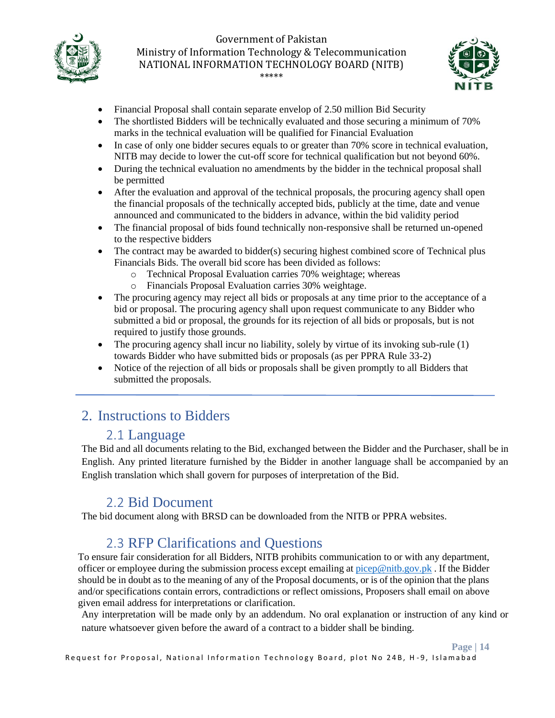



**Page | 14**

- Financial Proposal shall contain separate envelop of 2.50 million Bid Security
- The shortlisted Bidders will be technically evaluated and those securing a minimum of 70% marks in the technical evaluation will be qualified for Financial Evaluation
- In case of only one bidder secures equals to or greater than 70% score in technical evaluation, NITB may decide to lower the cut-off score for technical qualification but not beyond 60%.
- During the technical evaluation no amendments by the bidder in the technical proposal shall be permitted
- After the evaluation and approval of the technical proposals, the procuring agency shall open the financial proposals of the technically accepted bids, publicly at the time, date and venue announced and communicated to the bidders in advance, within the bid validity period
- The financial proposal of bids found technically non-responsive shall be returned un-opened to the respective bidders
- The contract may be awarded to bidder(s) securing highest combined score of Technical plus Financials Bids. The overall bid score has been divided as follows:
	- o Technical Proposal Evaluation carries 70% weightage; whereas
	- o Financials Proposal Evaluation carries 30% weightage.
- The procuring agency may reject all bids or proposals at any time prior to the acceptance of a bid or proposal. The procuring agency shall upon request communicate to any Bidder who submitted a bid or proposal, the grounds for its rejection of all bids or proposals, but is not required to justify those grounds.
- The procuring agency shall incur no liability, solely by virtue of its invoking sub-rule (1) towards Bidder who have submitted bids or proposals (as per PPRA Rule 33-2)
- Notice of the rejection of all bids or proposals shall be given promptly to all Bidders that submitted the proposals.

### <span id="page-13-0"></span>2. Instructions to Bidders

### <span id="page-13-1"></span>2.1 Language

The Bid and all documents relating to the Bid, exchanged between the Bidder and the Purchaser, shall be in English. Any printed literature furnished by the Bidder in another language shall be accompanied by an English translation which shall govern for purposes of interpretation of the Bid.

### <span id="page-13-2"></span>2.2 Bid Document

The bid document along with BRSD can be downloaded from the NITB or PPRA websites.

### <span id="page-13-3"></span>2.3 RFP Clarifications and Questions

To ensure fair consideration for all Bidders, NITB prohibits communication to or with any department, officer or employee during the submission process except emailing at [picep@nitb.gov.pk](mailto:picep@nitb.gov.pk). If the Bidder should be in doubt as to the meaning of any of the Proposal documents, or is of the opinion that the plans and/or specifications contain errors, contradictions or reflect omissions, Proposers shall email on above given email address for interpretations or clarification.

Any interpretation will be made only by an addendum. No oral explanation or instruction of any kind or nature whatsoever given before the award of a contract to a bidder shall be binding.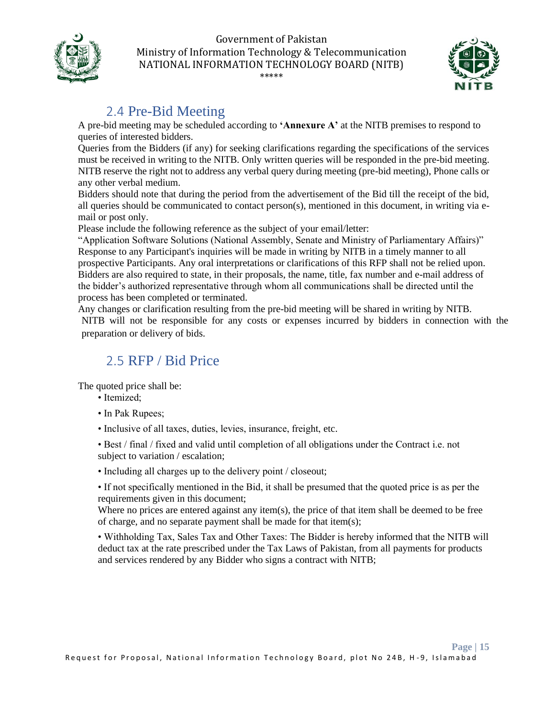



## <span id="page-14-0"></span>2.4 Pre-Bid Meeting

A pre-bid meeting may be scheduled according to **'Annexure A'** at the NITB premises to respond to queries of interested bidders.

Queries from the Bidders (if any) for seeking clarifications regarding the specifications of the services must be received in writing to the NITB. Only written queries will be responded in the pre-bid meeting. NITB reserve the right not to address any verbal query during meeting (pre-bid meeting), Phone calls or any other verbal medium.

Bidders should note that during the period from the advertisement of the Bid till the receipt of the bid, all queries should be communicated to contact person(s), mentioned in this document, in writing via email or post only.

Please include the following reference as the subject of your email/letter:

"Application Software Solutions (National Assembly, Senate and Ministry of Parliamentary Affairs)" Response to any Participant's inquiries will be made in writing by NITB in a timely manner to all prospective Participants. Any oral interpretations or clarifications of this RFP shall not be relied upon. Bidders are also required to state, in their proposals, the name, title, fax number and e-mail address of the bidder's authorized representative through whom all communications shall be directed until the process has been completed or terminated.

Any changes or clarification resulting from the pre-bid meeting will be shared in writing by NITB. NITB will not be responsible for any costs or expenses incurred by bidders in connection with the preparation or delivery of bids.

### <span id="page-14-1"></span>2.5 RFP / Bid Price

The quoted price shall be:

- Itemized;
- In Pak Rupees;
- Inclusive of all taxes, duties, levies, insurance, freight, etc.

• Best / final / fixed and valid until completion of all obligations under the Contract i.e. not subject to variation / escalation;

• Including all charges up to the delivery point / closeout;

• If not specifically mentioned in the Bid, it shall be presumed that the quoted price is as per the requirements given in this document;

Where no prices are entered against any item(s), the price of that item shall be deemed to be free of charge, and no separate payment shall be made for that item(s);

• Withholding Tax, Sales Tax and Other Taxes: The Bidder is hereby informed that the NITB will deduct tax at the rate prescribed under the Tax Laws of Pakistan, from all payments for products and services rendered by any Bidder who signs a contract with NITB;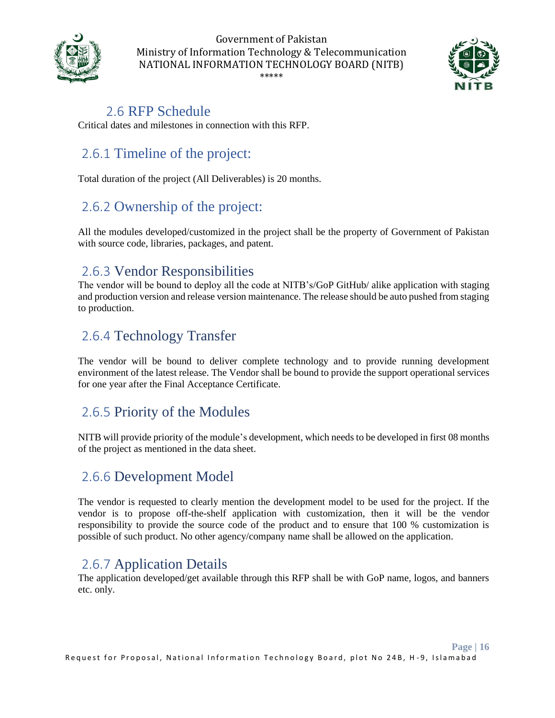



### <span id="page-15-0"></span>2.6 RFP Schedule

Critical dates and milestones in connection with this RFP.

## <span id="page-15-1"></span>2.6.1 Timeline of the project:

Total duration of the project (All Deliverables) is 20 months.

### <span id="page-15-2"></span>2.6.2 Ownership of the project:

All the modules developed/customized in the project shall be the property of Government of Pakistan with source code, libraries, packages, and patent.

### <span id="page-15-3"></span>2.6.3 Vendor Responsibilities

The vendor will be bound to deploy all the code at NITB's/GoP GitHub/ alike application with staging and production version and release version maintenance. The release should be auto pushed from staging to production.

### <span id="page-15-4"></span>2.6.4 Technology Transfer

The vendor will be bound to deliver complete technology and to provide running development environment of the latest release. The Vendor shall be bound to provide the support operational services for one year after the Final Acceptance Certificate.

### <span id="page-15-5"></span>2.6.5 Priority of the Modules

NITB will provide priority of the module's development, which needs to be developed in first 08 months of the project as mentioned in the data sheet.

### <span id="page-15-6"></span>2.6.6 Development Model

The vendor is requested to clearly mention the development model to be used for the project. If the vendor is to propose off-the-shelf application with customization, then it will be the vendor responsibility to provide the source code of the product and to ensure that 100 % customization is possible of such product. No other agency/company name shall be allowed on the application.

### <span id="page-15-7"></span>2.6.7 Application Details

The application developed/get available through this RFP shall be with GoP name, logos, and banners etc. only.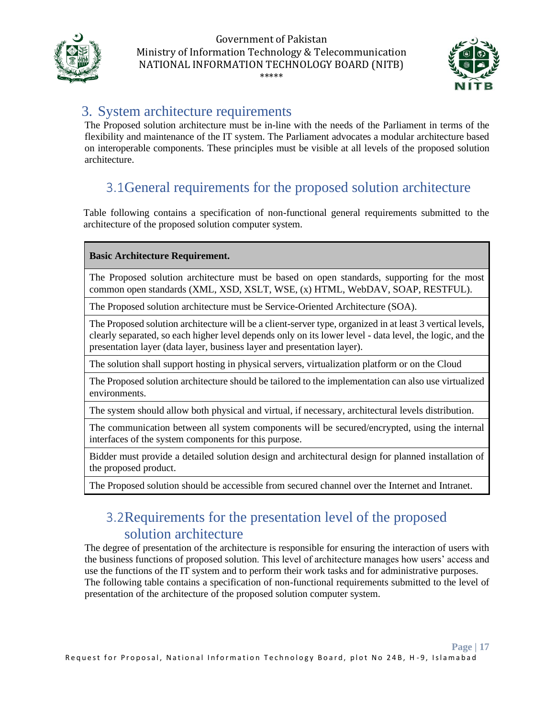



### <span id="page-16-0"></span>3. System architecture requirements

The Proposed solution architecture must be in-line with the needs of the Parliament in terms of the flexibility and maintenance of the IT system. The Parliament advocates a modular architecture based on interoperable components. These principles must be visible at all levels of the proposed solution architecture.

## 3.1General requirements for the proposed solution architecture

<span id="page-16-1"></span>Table following contains a specification of non-functional general requirements submitted to the architecture of the proposed solution computer system.

#### **Basic Architecture Requirement.**

The Proposed solution architecture must be based on open standards, supporting for the most common open standards (XML, XSD, XSLT, WSE, (x) HTML, WebDAV, SOAP, RESTFUL).

The Proposed solution architecture must be Service-Oriented Architecture (SOA).

The Proposed solution architecture will be a client-server type, organized in at least 3 vertical levels, clearly separated, so each higher level depends only on its lower level - data level, the logic, and the presentation layer (data layer, business layer and presentation layer).

The solution shall support hosting in physical servers, virtualization platform or on the Cloud

The Proposed solution architecture should be tailored to the implementation can also use virtualized environments.

The system should allow both physical and virtual, if necessary, architectural levels distribution.

The communication between all system components will be secured/encrypted, using the internal interfaces of the system components for this purpose.

Bidder must provide a detailed solution design and architectural design for planned installation of the proposed product.

<span id="page-16-2"></span>The Proposed solution should be accessible from secured channel over the Internet and Intranet.

### 3.2Requirements for the presentation level of the proposed solution architecture

The degree of presentation of the architecture is responsible for ensuring the interaction of users with the business functions of proposed solution. This level of architecture manages how users' access and use the functions of the IT system and to perform their work tasks and for administrative purposes. The following table contains a specification of non-functional requirements submitted to the level of presentation of the architecture of the proposed solution computer system.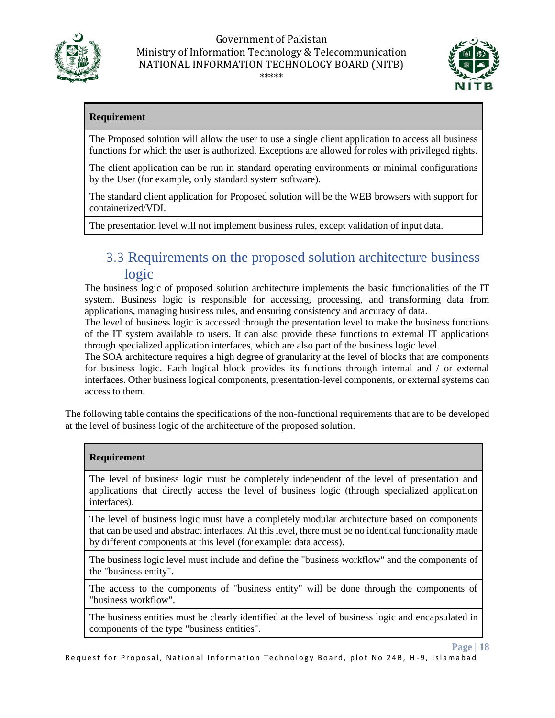



**Page | 18**

#### **Requirement**

The Proposed solution will allow the user to use a single client application to access all business functions for which the user is authorized. Exceptions are allowed for roles with privileged rights.

The client application can be run in standard operating environments or minimal configurations by the User (for example, only standard system software).

The standard client application for Proposed solution will be the WEB browsers with support for containerized/VDI.

The presentation level will not implement business rules, except validation of input data.

### <span id="page-17-0"></span>3.3 Requirements on the proposed solution architecture business logic

The business logic of proposed solution architecture implements the basic functionalities of the IT system. Business logic is responsible for accessing, processing, and transforming data from applications, managing business rules, and ensuring consistency and accuracy of data.

The level of business logic is accessed through the presentation level to make the business functions of the IT system available to users. It can also provide these functions to external IT applications through specialized application interfaces, which are also part of the business logic level.

The SOA architecture requires a high degree of granularity at the level of blocks that are components for business logic. Each logical block provides its functions through internal and / or external interfaces. Other business logical components, presentation-level components, or external systems can access to them.

The following table contains the specifications of the non-functional requirements that are to be developed at the level of business logic of the architecture of the proposed solution.

#### **Requirement**

The level of business logic must be completely independent of the level of presentation and applications that directly access the level of business logic (through specialized application interfaces).

The level of business logic must have a completely modular architecture based on components that can be used and abstract interfaces. At this level, there must be no identical functionality made by different components at this level (for example: data access).

The business logic level must include and define the "business workflow" and the components of the "business entity".

The access to the components of "business entity" will be done through the components of "business workflow".

The business entities must be clearly identified at the level of business logic and encapsulated in components of the type "business entities".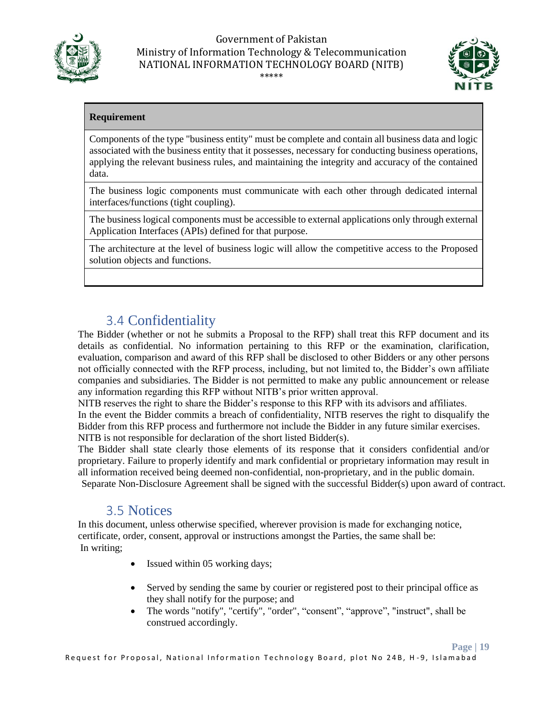



#### **Requirement**

Components of the type "business entity" must be complete and contain all business data and logic associated with the business entity that it possesses, necessary for conducting business operations, applying the relevant business rules, and maintaining the integrity and accuracy of the contained data.

The business logic components must communicate with each other through dedicated internal interfaces/functions (tight coupling).

The business logical components must be accessible to external applications only through external Application Interfaces (APIs) defined for that purpose.

The architecture at the level of business logic will allow the competitive access to the Proposed solution objects and functions.

## <span id="page-18-0"></span>3.4 Confidentiality

The Bidder (whether or not he submits a Proposal to the RFP) shall treat this RFP document and its details as confidential. No information pertaining to this RFP or the examination, clarification, evaluation, comparison and award of this RFP shall be disclosed to other Bidders or any other persons not officially connected with the RFP process, including, but not limited to, the Bidder's own affiliate companies and subsidiaries. The Bidder is not permitted to make any public announcement or release any information regarding this RFP without NITB's prior written approval.

NITB reserves the right to share the Bidder's response to this RFP with its advisors and affiliates. In the event the Bidder commits a breach of confidentiality, NITB reserves the right to disqualify the Bidder from this RFP process and furthermore not include the Bidder in any future similar exercises. NITB is not responsible for declaration of the short listed Bidder(s).

The Bidder shall state clearly those elements of its response that it considers confidential and/or proprietary. Failure to properly identify and mark confidential or proprietary information may result in all information received being deemed non-confidential, non-proprietary, and in the public domain. Separate Non-Disclosure Agreement shall be signed with the successful Bidder(s) upon award of contract.

### <span id="page-18-1"></span>3.5 Notices

In this document, unless otherwise specified, wherever provision is made for exchanging notice, certificate, order, consent, approval or instructions amongst the Parties, the same shall be: In writing;

- Issued within 05 working days;
- Served by sending the same by courier or registered post to their principal office as they shall notify for the purpose; and
- The words "notify", "certify", "order", "consent", "approve", "instruct", shall be construed accordingly.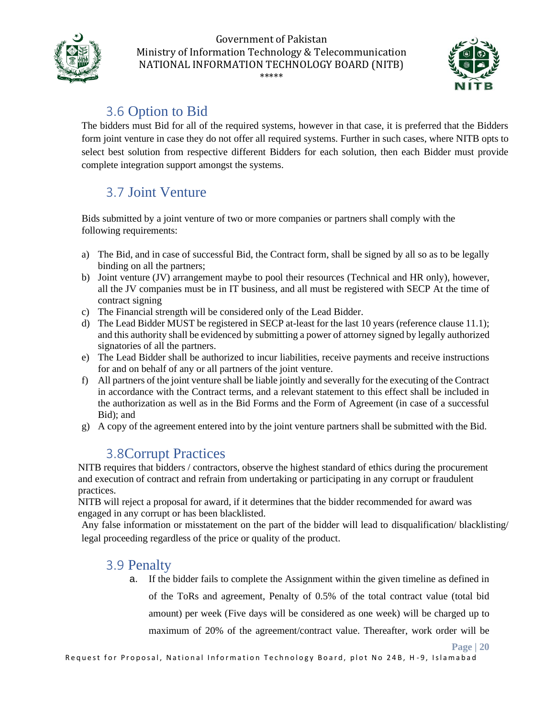



**Page | 20**

## <span id="page-19-0"></span>3.6 Option to Bid

The bidders must Bid for all of the required systems, however in that case, it is preferred that the Bidders form joint venture in case they do not offer all required systems. Further in such cases, where NITB opts to select best solution from respective different Bidders for each solution, then each Bidder must provide complete integration support amongst the systems.

## <span id="page-19-1"></span>3.7 Joint Venture

Bids submitted by a joint venture of two or more companies or partners shall comply with the following requirements:

- a) The Bid, and in case of successful Bid, the Contract form, shall be signed by all so as to be legally binding on all the partners;
- b) Joint venture (JV) arrangement maybe to pool their resources (Technical and HR only), however, all the JV companies must be in IT business, and all must be registered with SECP At the time of contract signing
- c) The Financial strength will be considered only of the Lead Bidder.
- d) The Lead Bidder MUST be registered in SECP at-least for the last 10 years (reference clause 11.1); and this authority shall be evidenced by submitting a power of attorney signed by legally authorized signatories of all the partners.
- e) The Lead Bidder shall be authorized to incur liabilities, receive payments and receive instructions for and on behalf of any or all partners of the joint venture.
- f) All partners of the joint venture shall be liable jointly and severally for the executing of the Contract in accordance with the Contract terms, and a relevant statement to this effect shall be included in the authorization as well as in the Bid Forms and the Form of Agreement (in case of a successful Bid); and
- g) A copy of the agreement entered into by the joint venture partners shall be submitted with the Bid.

### 3.8Corrupt Practices

<span id="page-19-2"></span>NITB requires that bidders / contractors, observe the highest standard of ethics during the procurement and execution of contract and refrain from undertaking or participating in any corrupt or fraudulent practices.

NITB will reject a proposal for award, if it determines that the bidder recommended for award was engaged in any corrupt or has been blacklisted.

Any false information or misstatement on the part of the bidder will lead to disqualification/ blacklisting/ legal proceeding regardless of the price or quality of the product.

### 3.9 Penalty

<span id="page-19-3"></span>a. If the bidder fails to complete the Assignment within the given timeline as defined in of the ToRs and agreement, Penalty of 0.5% of the total contract value (total bid amount) per week (Five days will be considered as one week) will be charged up to maximum of 20% of the agreement/contract value. Thereafter, work order will be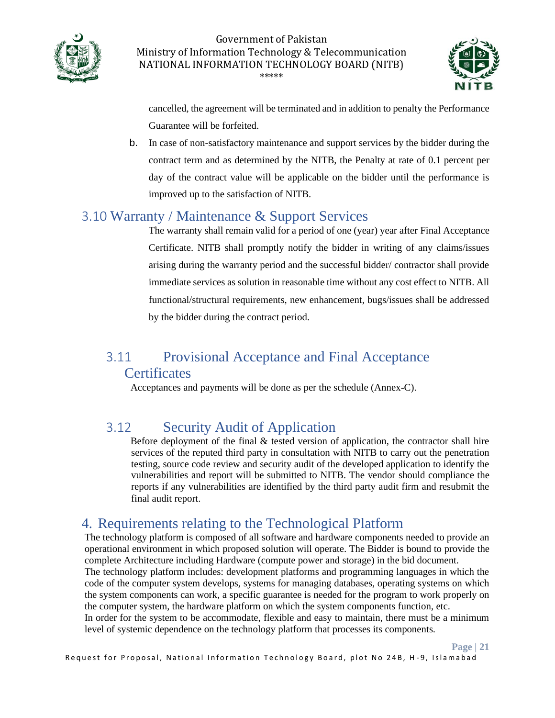



cancelled, the agreement will be terminated and in addition to penalty the Performance Guarantee will be forfeited.

b. In case of non-satisfactory maintenance and support services by the bidder during the contract term and as determined by the NITB, the Penalty at rate of 0.1 percent per day of the contract value will be applicable on the bidder until the performance is improved up to the satisfaction of NITB.

### <span id="page-20-0"></span>3.10 Warranty / Maintenance & Support Services

The warranty shall remain valid for a period of one (year) year after Final Acceptance Certificate. NITB shall promptly notify the bidder in writing of any claims/issues arising during the warranty period and the successful bidder/ contractor shall provide immediate services as solution in reasonable time without any cost effect to NITB. All functional/structural requirements, new enhancement, bugs/issues shall be addressed by the bidder during the contract period.

# <span id="page-20-1"></span>3.11 Provisional Acceptance and Final Acceptance

### **Certificates**

Acceptances and payments will be done as per the schedule (Annex-C).

## <span id="page-20-2"></span>3.12 Security Audit of Application

Before deployment of the final  $&$  tested version of application, the contractor shall hire services of the reputed third party in consultation with NITB to carry out the penetration testing, source code review and security audit of the developed application to identify the vulnerabilities and report will be submitted to NITB. The vendor should compliance the reports if any vulnerabilities are identified by the third party audit firm and resubmit the final audit report.

### <span id="page-20-3"></span>4. Requirements relating to the Technological Platform

The technology platform is composed of all software and hardware components needed to provide an operational environment in which proposed solution will operate. The Bidder is bound to provide the complete Architecture including Hardware (compute power and storage) in the bid document.

The technology platform includes: development platforms and programming languages in which the code of the computer system develops, systems for managing databases, operating systems on which the system components can work, a specific guarantee is needed for the program to work properly on the computer system, the hardware platform on which the system components function, etc.

In order for the system to be accommodate, flexible and easy to maintain, there must be a minimum level of systemic dependence on the technology platform that processes its components.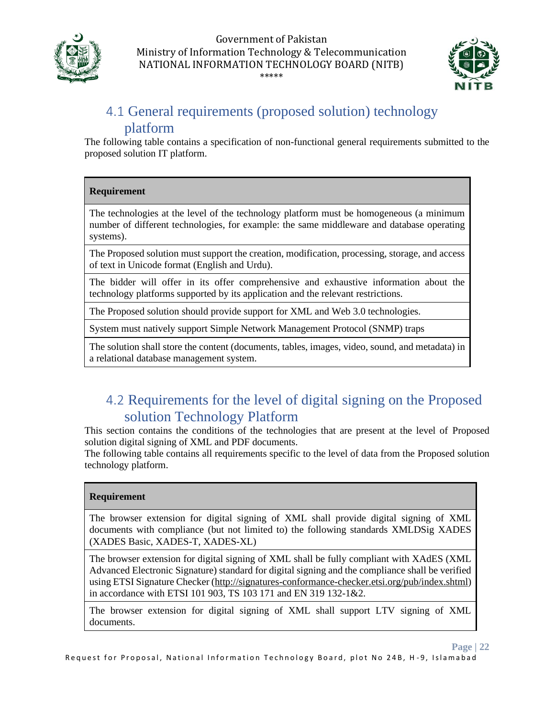



## <span id="page-21-0"></span>4.1 General requirements (proposed solution) technology platform

The following table contains a specification of non-functional general requirements submitted to the proposed solution IT platform.

#### **Requirement**

The technologies at the level of the technology platform must be homogeneous (a minimum number of different technologies, for example: the same middleware and database operating systems).

The Proposed solution must support the creation, modification, processing, storage, and access of text in Unicode format (English and Urdu).

The bidder will offer in its offer comprehensive and exhaustive information about the technology platforms supported by its application and the relevant restrictions.

The Proposed solution should provide support for XML and Web 3.0 technologies.

System must natively support Simple Network Management Protocol (SNMP) traps

The solution shall store the content (documents, tables, images, video, sound, and metadata) in a relational database management system.

### <span id="page-21-1"></span>4.2 Requirements for the level of digital signing on the Proposed solution Technology Platform

This section contains the conditions of the technologies that are present at the level of Proposed solution digital signing of XML and PDF documents.

The following table contains all requirements specific to the level of data from the Proposed solution technology platform.

#### **Requirement**

The browser extension for digital signing of XML shall provide digital signing of XML documents with compliance (but not limited to) the following standards XMLDSig XADES (XADES Basic, XADES-T, XADES-XL)

The browser extension for digital signing of XML shall be fully compliant with XAdES (XML Advanced Electronic Signature) standard for digital signing and the compliance shall be verified using ETSI Signature Checker [\(http://signatures-conformance-checker.etsi.org/pub/index.shtml\)](http://signatures-conformance-checker.etsi.org/pub/index.shtml) in accordance with ETSI 101 903, TS 103 171 and EN 319 132-1&2.

The browser extension for digital signing of XML shall support LTV signing of XML documents.

#### **Page | 22**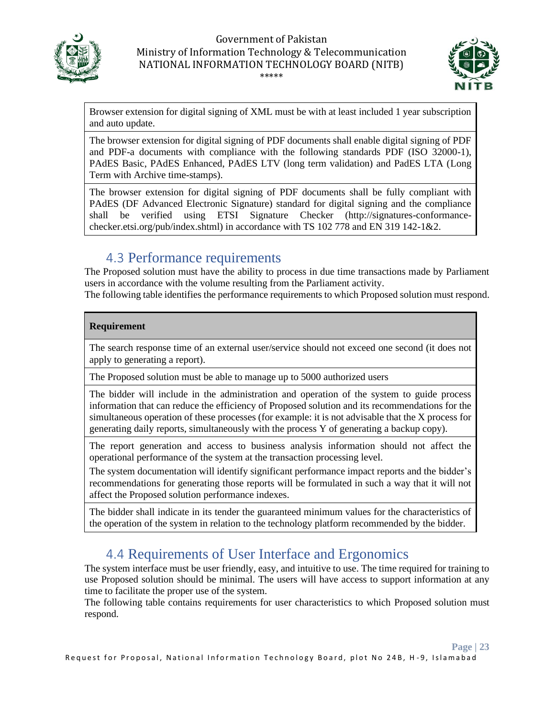



**Page | 23**

Browser extension for digital signing of XML must be with at least included 1 year subscription and auto update.

The browser extension for digital signing of PDF documents shall enable digital signing of PDF and PDF-a documents with compliance with the following standards PDF (ISO 32000-1), PAdES Basic, PAdES Enhanced, PAdES LTV (long term validation) and PadES LTA (Long Term with Archive time-stamps).

The browser extension for digital signing of PDF documents shall be fully compliant with PAdES (DF Advanced Electronic Signature) standard for digital signing and the compliance shall be verified using ETSI Signature Checker (http://signatures-conformancechecker.etsi.org/pub/index.shtml) in accordance with TS 102 778 and EN 319 142-1&2.

### <span id="page-22-0"></span>4.3 Performance requirements

The Proposed solution must have the ability to process in due time transactions made by Parliament users in accordance with the volume resulting from the Parliament activity.

The following table identifies the performance requirements to which Proposed solution must respond.

#### **Requirement**

The search response time of an external user/service should not exceed one second (it does not apply to generating a report).

The Proposed solution must be able to manage up to 5000 authorized users

The bidder will include in the administration and operation of the system to guide process information that can reduce the efficiency of Proposed solution and its recommendations for the simultaneous operation of these processes (for example: it is not advisable that the X process for generating daily reports, simultaneously with the process Y of generating a backup copy).

The report generation and access to business analysis information should not affect the operational performance of the system at the transaction processing level.

The system documentation will identify significant performance impact reports and the bidder's recommendations for generating those reports will be formulated in such a way that it will not affect the Proposed solution performance indexes.

The bidder shall indicate in its tender the guaranteed minimum values for the characteristics of the operation of the system in relation to the technology platform recommended by the bidder.

### <span id="page-22-1"></span>4.4 Requirements of User Interface and Ergonomics

The system interface must be user friendly, easy, and intuitive to use. The time required for training to use Proposed solution should be minimal. The users will have access to support information at any time to facilitate the proper use of the system.

The following table contains requirements for user characteristics to which Proposed solution must respond.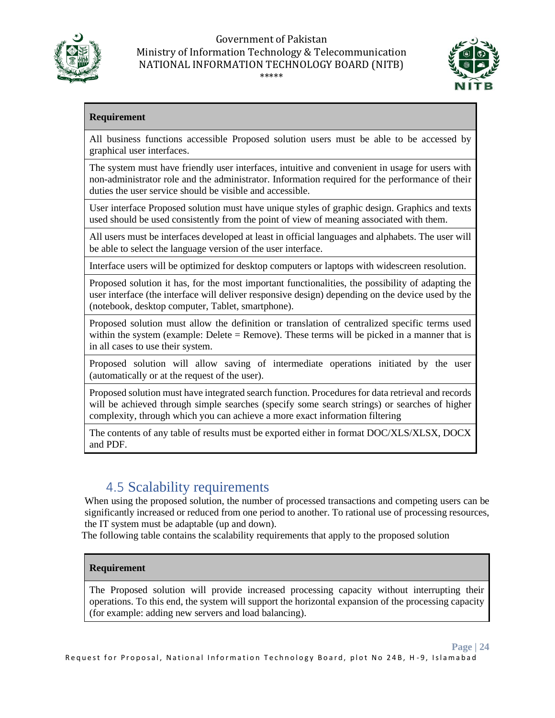



#### **Requirement**

All business functions accessible Proposed solution users must be able to be accessed by graphical user interfaces.

The system must have friendly user interfaces, intuitive and convenient in usage for users with non-administrator role and the administrator. Information required for the performance of their duties the user service should be visible and accessible.

User interface Proposed solution must have unique styles of graphic design. Graphics and texts used should be used consistently from the point of view of meaning associated with them.

All users must be interfaces developed at least in official languages and alphabets. The user will be able to select the language version of the user interface.

Interface users will be optimized for desktop computers or laptops with widescreen resolution.

Proposed solution it has, for the most important functionalities, the possibility of adapting the user interface (the interface will deliver responsive design) depending on the device used by the (notebook, desktop computer, Tablet, smartphone).

Proposed solution must allow the definition or translation of centralized specific terms used within the system (example: Delete = Remove). These terms will be picked in a manner that is in all cases to use their system.

Proposed solution will allow saving of intermediate operations initiated by the user (automatically or at the request of the user).

Proposed solution must have integrated search function. Procedures for data retrieval and records will be achieved through simple searches (specify some search strings) or searches of higher complexity, through which you can achieve a more exact information filtering

The contents of any table of results must be exported either in format DOC/XLS/XLSX, DOCX and PDF.

## <span id="page-23-0"></span>4.5 Scalability requirements

When using the proposed solution, the number of processed transactions and competing users can be significantly increased or reduced from one period to another. To rational use of processing resources, the IT system must be adaptable (up and down).

The following table contains the scalability requirements that apply to the proposed solution

#### **Requirement**

The Proposed solution will provide increased processing capacity without interrupting their operations. To this end, the system will support the horizontal expansion of the processing capacity (for example: adding new servers and load balancing).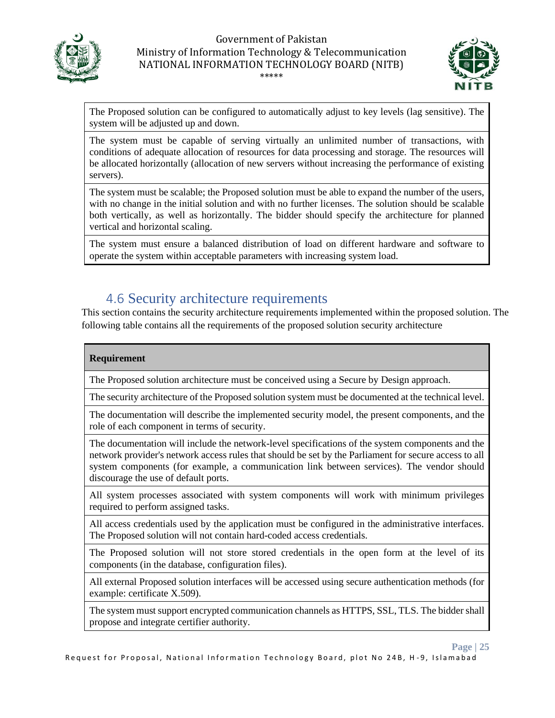



**Page | 25**

The Proposed solution can be configured to automatically adjust to key levels (lag sensitive). The system will be adjusted up and down.

The system must be capable of serving virtually an unlimited number of transactions, with conditions of adequate allocation of resources for data processing and storage. The resources will be allocated horizontally (allocation of new servers without increasing the performance of existing servers).

The system must be scalable; the Proposed solution must be able to expand the number of the users, with no change in the initial solution and with no further licenses. The solution should be scalable both vertically, as well as horizontally. The bidder should specify the architecture for planned vertical and horizontal scaling.

The system must ensure a balanced distribution of load on different hardware and software to operate the system within acceptable parameters with increasing system load.

### <span id="page-24-0"></span>4.6 Security architecture requirements

This section contains the security architecture requirements implemented within the proposed solution. The following table contains all the requirements of the proposed solution security architecture

#### **Requirement**

The Proposed solution architecture must be conceived using a Secure by Design approach.

The security architecture of the Proposed solution system must be documented at the technical level.

The documentation will describe the implemented security model, the present components, and the role of each component in terms of security.

The documentation will include the network-level specifications of the system components and the network provider's network access rules that should be set by the Parliament for secure access to all system components (for example, a communication link between services). The vendor should discourage the use of default ports.

All system processes associated with system components will work with minimum privileges required to perform assigned tasks.

All access credentials used by the application must be configured in the administrative interfaces. The Proposed solution will not contain hard-coded access credentials.

The Proposed solution will not store stored credentials in the open form at the level of its components (in the database, configuration files).

All external Proposed solution interfaces will be accessed using secure authentication methods (for example: certificate X.509).

The system must support encrypted communication channels as HTTPS, SSL, TLS. The bidder shall propose and integrate certifier authority.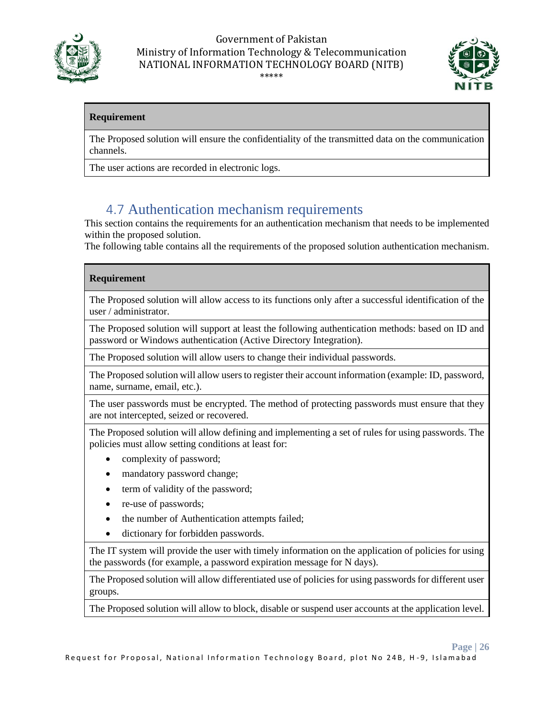



**Page | 26**

#### **Requirement**

The Proposed solution will ensure the confidentiality of the transmitted data on the communication channels.

The user actions are recorded in electronic logs.

### <span id="page-25-0"></span>4.7 Authentication mechanism requirements

This section contains the requirements for an authentication mechanism that needs to be implemented within the proposed solution.

The following table contains all the requirements of the proposed solution authentication mechanism.

#### **Requirement**

The Proposed solution will allow access to its functions only after a successful identification of the user / administrator.

The Proposed solution will support at least the following authentication methods: based on ID and password or Windows authentication (Active Directory Integration).

The Proposed solution will allow users to change their individual passwords.

The Proposed solution will allow users to register their account information (example: ID, password, name, surname, email, etc.).

The user passwords must be encrypted. The method of protecting passwords must ensure that they are not intercepted, seized or recovered.

The Proposed solution will allow defining and implementing a set of rules for using passwords. The policies must allow setting conditions at least for:

- complexity of password;
- mandatory password change;
- term of validity of the password;
- re-use of passwords;
- the number of Authentication attempts failed;
- dictionary for forbidden passwords.

The IT system will provide the user with timely information on the application of policies for using the passwords (for example, a password expiration message for N days).

The Proposed solution will allow differentiated use of policies for using passwords for different user groups.

The Proposed solution will allow to block, disable or suspend user accounts at the application level.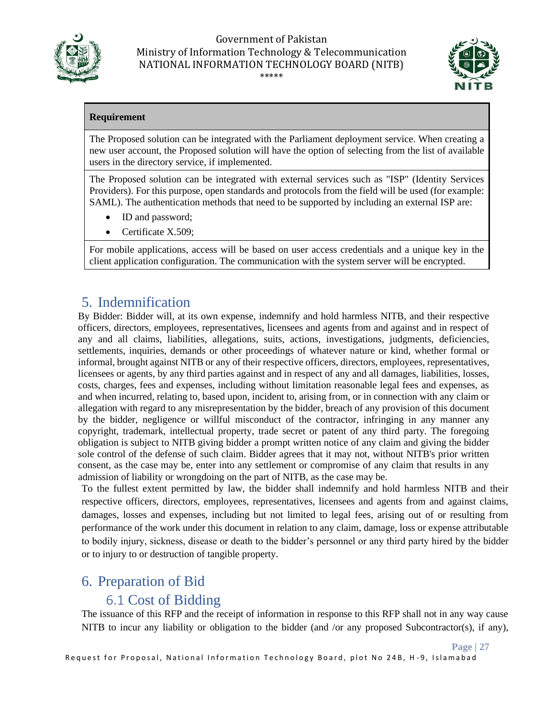



#### **Requirement**

The Proposed solution can be integrated with the Parliament deployment service. When creating a new user account, the Proposed solution will have the option of selecting from the list of available users in the directory service, if implemented.

The Proposed solution can be integrated with external services such as "ISP" (Identity Services Providers). For this purpose, open standards and protocols from the field will be used (for example: SAML). The authentication methods that need to be supported by including an external ISP are:

- ID and password;
- Certificate X.509:

For mobile applications, access will be based on user access credentials and a unique key in the client application configuration. The communication with the system server will be encrypted.

### <span id="page-26-0"></span>5. Indemnification

By Bidder: Bidder will, at its own expense, indemnify and hold harmless NITB, and their respective officers, directors, employees, representatives, licensees and agents from and against and in respect of any and all claims, liabilities, allegations, suits, actions, investigations, judgments, deficiencies, settlements, inquiries, demands or other proceedings of whatever nature or kind, whether formal or informal, brought against NITB or any of their respective officers, directors, employees, representatives, licensees or agents, by any third parties against and in respect of any and all damages, liabilities, losses, costs, charges, fees and expenses, including without limitation reasonable legal fees and expenses, as and when incurred, relating to, based upon, incident to, arising from, or in connection with any claim or allegation with regard to any misrepresentation by the bidder, breach of any provision of this document by the bidder, negligence or willful misconduct of the contractor, infringing in any manner any copyright, trademark, intellectual property, trade secret or patent of any third party. The foregoing obligation is subject to NITB giving bidder a prompt written notice of any claim and giving the bidder sole control of the defense of such claim. Bidder agrees that it may not, without NITB's prior written consent, as the case may be, enter into any settlement or compromise of any claim that results in any admission of liability or wrongdoing on the part of NITB, as the case may be.

To the fullest extent permitted by law, the bidder shall indemnify and hold harmless NITB and their respective officers, directors, employees, representatives, licensees and agents from and against claims, damages, losses and expenses, including but not limited to legal fees, arising out of or resulting from performance of the work under this document in relation to any claim, damage, loss or expense attributable to bodily injury, sickness, disease or death to the bidder's personnel or any third party hired by the bidder or to injury to or destruction of tangible property.

### <span id="page-26-1"></span>6. Preparation of Bid

### <span id="page-26-2"></span>6.1 Cost of Bidding

The issuance of this RFP and the receipt of information in response to this RFP shall not in any way cause NITB to incur any liability or obligation to the bidder (and /or any proposed Subcontractor(s), if any),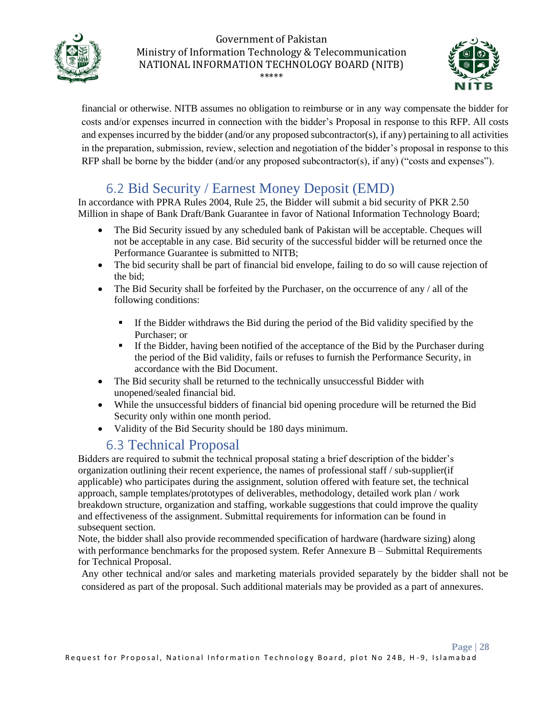



financial or otherwise. NITB assumes no obligation to reimburse or in any way compensate the bidder for costs and/or expenses incurred in connection with the bidder's Proposal in response to this RFP. All costs and expenses incurred by the bidder (and/or any proposed subcontractor(s), if any) pertaining to all activities in the preparation, submission, review, selection and negotiation of the bidder's proposal in response to this RFP shall be borne by the bidder (and/or any proposed subcontractor(s), if any) ("costs and expenses").

## <span id="page-27-0"></span>6.2 Bid Security / Earnest Money Deposit (EMD)

In accordance with PPRA Rules 2004, Rule 25, the Bidder will submit a bid security of PKR 2.50 Million in shape of Bank Draft/Bank Guarantee in favor of National Information Technology Board;

- The Bid Security issued by any scheduled bank of Pakistan will be acceptable. Cheques will not be acceptable in any case. Bid security of the successful bidder will be returned once the Performance Guarantee is submitted to NITB;
- The bid security shall be part of financial bid envelope, failing to do so will cause rejection of the bid;
- The Bid Security shall be forfeited by the Purchaser, on the occurrence of any / all of the following conditions:
	- **.** If the Bidder withdraws the Bid during the period of the Bid validity specified by the Purchaser; or
	- If the Bidder, having been notified of the acceptance of the Bid by the Purchaser during the period of the Bid validity, fails or refuses to furnish the Performance Security, in accordance with the Bid Document.
- The Bid security shall be returned to the technically unsuccessful Bidder with unopened/sealed financial bid.
- While the unsuccessful bidders of financial bid opening procedure will be returned the Bid Security only within one month period.
- Validity of the Bid Security should be 180 days minimum.

## <span id="page-27-1"></span>6.3 Technical Proposal

Bidders are required to submit the technical proposal stating a brief description of the bidder's organization outlining their recent experience, the names of professional staff / sub-supplier(if applicable) who participates during the assignment, solution offered with feature set, the technical approach, sample templates/prototypes of deliverables, methodology, detailed work plan / work breakdown structure, organization and staffing, workable suggestions that could improve the quality and effectiveness of the assignment. Submittal requirements for information can be found in subsequent section.

Note, the bidder shall also provide recommended specification of hardware (hardware sizing) along with performance benchmarks for the proposed system. Refer Annexure B – Submittal Requirements for Technical Proposal.

Any other technical and/or sales and marketing materials provided separately by the bidder shall not be considered as part of the proposal. Such additional materials may be provided as a part of annexures.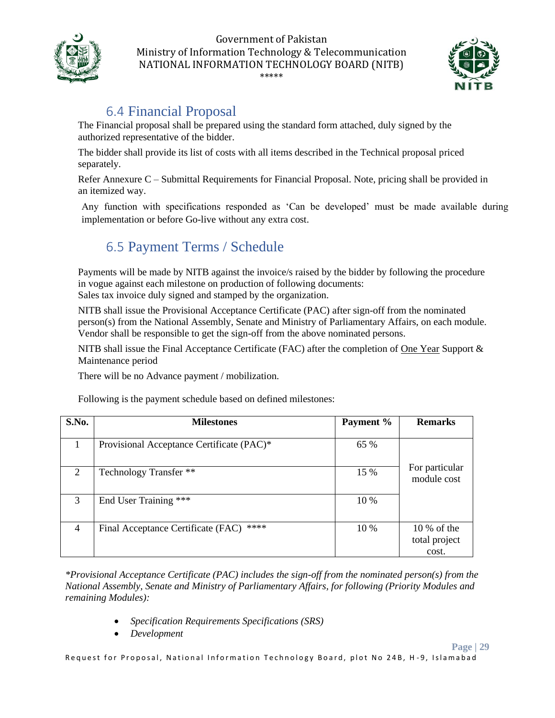



**Page | 29**

## <span id="page-28-0"></span>6.4 Financial Proposal

The Financial proposal shall be prepared using the standard form attached, duly signed by the authorized representative of the bidder.

The bidder shall provide its list of costs with all items described in the Technical proposal priced separately.

Refer Annexure C – Submittal Requirements for Financial Proposal. Note, pricing shall be provided in an itemized way.

Any function with specifications responded as 'Can be developed' must be made available during implementation or before Go-live without any extra cost.

## <span id="page-28-1"></span>6.5 Payment Terms / Schedule

Payments will be made by NITB against the invoice/s raised by the bidder by following the procedure in vogue against each milestone on production of following documents: Sales tax invoice duly signed and stamped by the organization.

NITB shall issue the Provisional Acceptance Certificate (PAC) after sign-off from the nominated person(s) from the National Assembly, Senate and Ministry of Parliamentary Affairs, on each module. Vendor shall be responsible to get the sign-off from the above nominated persons.

NITB shall issue the Final Acceptance Certificate (FAC) after the completion of One Year Support & Maintenance period

There will be no Advance payment / mobilization.

Following is the payment schedule based on defined milestones:

| S.No.          | <b>Milestones</b>                          | Payment % | <b>Remarks</b>                          |
|----------------|--------------------------------------------|-----------|-----------------------------------------|
|                | Provisional Acceptance Certificate (PAC)*  | 65 %      |                                         |
| 2              | Technology Transfer **                     | 15 %      | For particular<br>module cost           |
| 3              | End User Training ***                      | 10 %      |                                         |
| $\overline{4}$ | ****<br>Final Acceptance Certificate (FAC) | $10\%$    | $10\%$ of the<br>total project<br>cost. |

*\*Provisional Acceptance Certificate (PAC) includes the sign-off from the nominated person(s) from the National Assembly, Senate and Ministry of Parliamentary Affairs, for following (Priority Modules and remaining Modules):*

- *Specification Requirements Specifications (SRS)*
- *Development*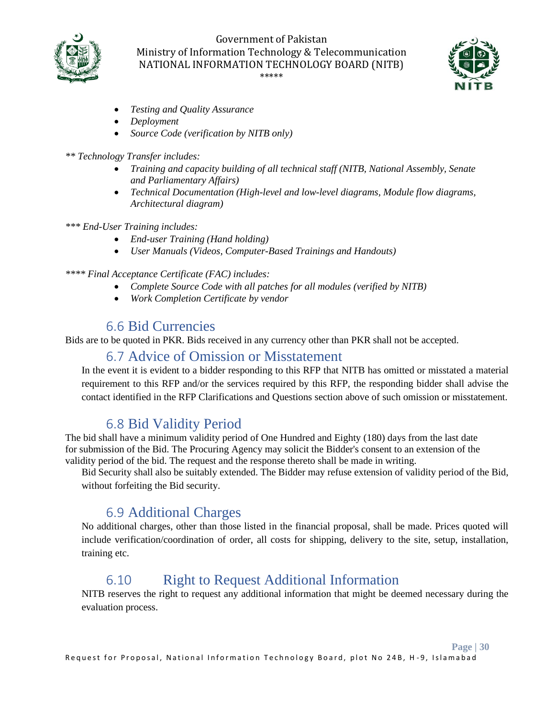



**Page | 30**

- *Testing and Quality Assurance*
- *Deployment*
- *Source Code (verification by NITB only)*

#### *\*\* Technology Transfer includes:*

- *Training and capacity building of all technical staff (NITB, National Assembly, Senate and Parliamentary Affairs)*
- *Technical Documentation (High-level and low-level diagrams, Module flow diagrams, Architectural diagram)*

#### *\*\*\* End-User Training includes:*

- *End-user Training (Hand holding)*
- *User Manuals (Videos, Computer-Based Trainings and Handouts)*

#### *\*\*\*\* Final Acceptance Certificate (FAC) includes:*

- *Complete Source Code with all patches for all modules (verified by NITB)*
- *Work Completion Certificate by vendor*

### <span id="page-29-0"></span>6.6 Bid Currencies

Bids are to be quoted in PKR. Bids received in any currency other than PKR shall not be accepted.

#### <span id="page-29-1"></span>6.7 Advice of Omission or Misstatement

In the event it is evident to a bidder responding to this RFP that NITB has omitted or misstated a material requirement to this RFP and/or the services required by this RFP, the responding bidder shall advise the contact identified in the RFP Clarifications and Questions section above of such omission or misstatement.

### <span id="page-29-2"></span>6.8 Bid Validity Period

The bid shall have a minimum validity period of One Hundred and Eighty (180) days from the last date for submission of the Bid. The Procuring Agency may solicit the Bidder's consent to an extension of the validity period of the bid. The request and the response thereto shall be made in writing.

Bid Security shall also be suitably extended. The Bidder may refuse extension of validity period of the Bid, without forfeiting the Bid security.

### <span id="page-29-3"></span>6.9 Additional Charges

No additional charges, other than those listed in the financial proposal, shall be made. Prices quoted will include verification/coordination of order, all costs for shipping, delivery to the site, setup, installation, training etc.

### 6.10 Right to Request Additional Information

<span id="page-29-4"></span>NITB reserves the right to request any additional information that might be deemed necessary during the evaluation process.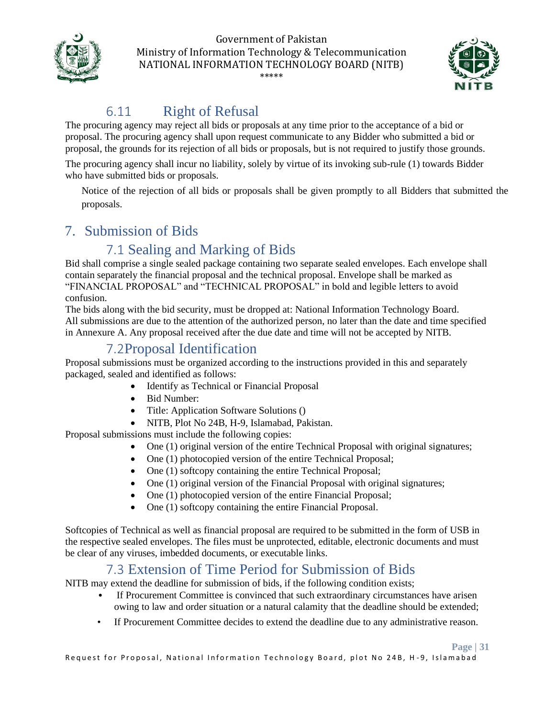



## 6.11 Right of Refusal

<span id="page-30-0"></span>The procuring agency may reject all bids or proposals at any time prior to the acceptance of a bid or proposal. The procuring agency shall upon request communicate to any Bidder who submitted a bid or proposal, the grounds for its rejection of all bids or proposals, but is not required to justify those grounds.

The procuring agency shall incur no liability, solely by virtue of its invoking sub-rule (1) towards Bidder who have submitted bids or proposals.

Notice of the rejection of all bids or proposals shall be given promptly to all Bidders that submitted the proposals.

### <span id="page-30-1"></span>7. Submission of Bids

## <span id="page-30-2"></span>7.1 Sealing and Marking of Bids

Bid shall comprise a single sealed package containing two separate sealed envelopes. Each envelope shall contain separately the financial proposal and the technical proposal. Envelope shall be marked as "FINANCIAL PROPOSAL" and "TECHNICAL PROPOSAL" in bold and legible letters to avoid confusion.

The bids along with the bid security, must be dropped at: National Information Technology Board. All submissions are due to the attention of the authorized person, no later than the date and time specified in Annexure A. Any proposal received after the due date and time will not be accepted by NITB.

### 7.2Proposal Identification

<span id="page-30-3"></span>Proposal submissions must be organized according to the instructions provided in this and separately packaged, sealed and identified as follows:

- Identify as Technical or Financial Proposal
- Bid Number:
- Title: Application Software Solutions ()
- NITB, Plot No 24B, H-9, Islamabad, Pakistan.

Proposal submissions must include the following copies:

- One (1) original version of the entire Technical Proposal with original signatures;
- One (1) photocopied version of the entire Technical Proposal;
- One (1) softcopy containing the entire Technical Proposal;
- One (1) original version of the Financial Proposal with original signatures;
- One (1) photocopied version of the entire Financial Proposal;
- One (1) softcopy containing the entire Financial Proposal.

Softcopies of Technical as well as financial proposal are required to be submitted in the form of USB in the respective sealed envelopes. The files must be unprotected, editable, electronic documents and must be clear of any viruses, imbedded documents, or executable links.

### <span id="page-30-4"></span>7.3 Extension of Time Period for Submission of Bids

NITB may extend the deadline for submission of bids, if the following condition exists;

- If Procurement Committee is convinced that such extraordinary circumstances have arisen owing to law and order situation or a natural calamity that the deadline should be extended;
- If Procurement Committee decides to extend the deadline due to any administrative reason.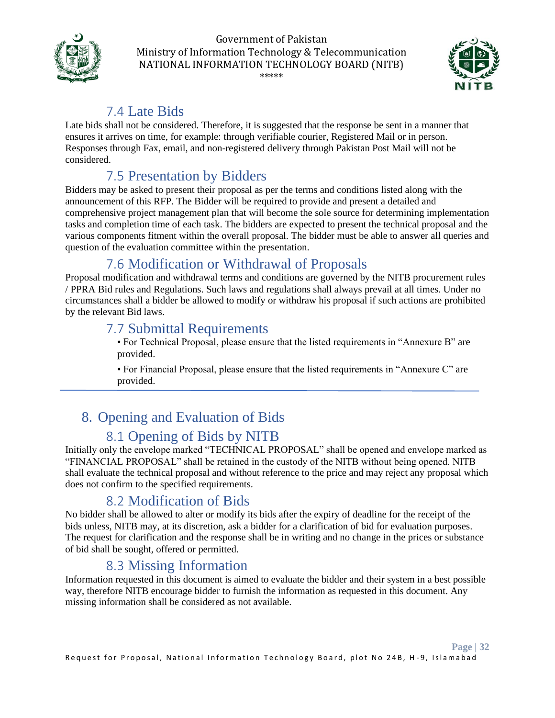



## <span id="page-31-0"></span>7.4 Late Bids

Late bids shall not be considered. Therefore, it is suggested that the response be sent in a manner that ensures it arrives on time, for example: through verifiable courier, Registered Mail or in person. Responses through Fax, email, and non-registered delivery through Pakistan Post Mail will not be considered.

## <span id="page-31-1"></span>7.5 Presentation by Bidders

Bidders may be asked to present their proposal as per the terms and conditions listed along with the announcement of this RFP. The Bidder will be required to provide and present a detailed and comprehensive project management plan that will become the sole source for determining implementation tasks and completion time of each task. The bidders are expected to present the technical proposal and the various components fitment within the overall proposal. The bidder must be able to answer all queries and question of the evaluation committee within the presentation.

## <span id="page-31-2"></span>7.6 Modification or Withdrawal of Proposals

Proposal modification and withdrawal terms and conditions are governed by the NITB procurement rules / PPRA Bid rules and Regulations. Such laws and regulations shall always prevail at all times. Under no circumstances shall a bidder be allowed to modify or withdraw his proposal if such actions are prohibited by the relevant Bid laws.

### <span id="page-31-3"></span>7.7 Submittal Requirements

• For Technical Proposal, please ensure that the listed requirements in "Annexure B" are provided.

• For Financial Proposal, please ensure that the listed requirements in "Annexure C" are provided.

# <span id="page-31-4"></span>8. Opening and Evaluation of Bids

### <span id="page-31-5"></span>8.1 Opening of Bids by NITB

Initially only the envelope marked "TECHNICAL PROPOSAL" shall be opened and envelope marked as "FINANCIAL PROPOSAL" shall be retained in the custody of the NITB without being opened. NITB shall evaluate the technical proposal and without reference to the price and may reject any proposal which does not confirm to the specified requirements.

## <span id="page-31-6"></span>8.2 Modification of Bids

No bidder shall be allowed to alter or modify its bids after the expiry of deadline for the receipt of the bids unless, NITB may, at its discretion, ask a bidder for a clarification of bid for evaluation purposes. The request for clarification and the response shall be in writing and no change in the prices or substance of bid shall be sought, offered or permitted.

### <span id="page-31-7"></span>8.3 Missing Information

Information requested in this document is aimed to evaluate the bidder and their system in a best possible way, therefore NITB encourage bidder to furnish the information as requested in this document. Any missing information shall be considered as not available.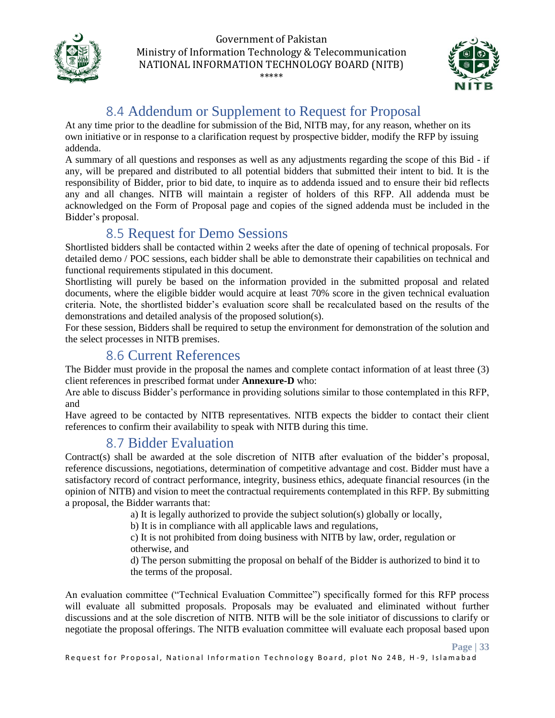



## <span id="page-32-0"></span>8.4 Addendum or Supplement to Request for Proposal

At any time prior to the deadline for submission of the Bid, NITB may, for any reason, whether on its own initiative or in response to a clarification request by prospective bidder, modify the RFP by issuing addenda.

A summary of all questions and responses as well as any adjustments regarding the scope of this Bid - if any, will be prepared and distributed to all potential bidders that submitted their intent to bid. It is the responsibility of Bidder, prior to bid date, to inquire as to addenda issued and to ensure their bid reflects any and all changes. NITB will maintain a register of holders of this RFP. All addenda must be acknowledged on the Form of Proposal page and copies of the signed addenda must be included in the Bidder's proposal.

### <span id="page-32-1"></span>8.5 Request for Demo Sessions

Shortlisted bidders shall be contacted within 2 weeks after the date of opening of technical proposals. For detailed demo / POC sessions, each bidder shall be able to demonstrate their capabilities on technical and functional requirements stipulated in this document.

Shortlisting will purely be based on the information provided in the submitted proposal and related documents, where the eligible bidder would acquire at least 70% score in the given technical evaluation criteria. Note, the shortlisted bidder's evaluation score shall be recalculated based on the results of the demonstrations and detailed analysis of the proposed solution(s).

For these session, Bidders shall be required to setup the environment for demonstration of the solution and the select processes in NITB premises.

### <span id="page-32-2"></span>8.6 Current References

The Bidder must provide in the proposal the names and complete contact information of at least three (3) client references in prescribed format under **Annexure-D** who:

Are able to discuss Bidder's performance in providing solutions similar to those contemplated in this RFP, and

Have agreed to be contacted by NITB representatives. NITB expects the bidder to contact their client references to confirm their availability to speak with NITB during this time.

### <span id="page-32-3"></span>8.7 Bidder Evaluation

Contract(s) shall be awarded at the sole discretion of NITB after evaluation of the bidder's proposal, reference discussions, negotiations, determination of competitive advantage and cost. Bidder must have a satisfactory record of contract performance, integrity, business ethics, adequate financial resources (in the opinion of NITB) and vision to meet the contractual requirements contemplated in this RFP. By submitting a proposal, the Bidder warrants that:

a) It is legally authorized to provide the subject solution(s) globally or locally,

b) It is in compliance with all applicable laws and regulations,

c) It is not prohibited from doing business with NITB by law, order, regulation or otherwise, and

d) The person submitting the proposal on behalf of the Bidder is authorized to bind it to the terms of the proposal.

An evaluation committee ("Technical Evaluation Committee") specifically formed for this RFP process will evaluate all submitted proposals. Proposals may be evaluated and eliminated without further discussions and at the sole discretion of NITB. NITB will be the sole initiator of discussions to clarify or negotiate the proposal offerings. The NITB evaluation committee will evaluate each proposal based upon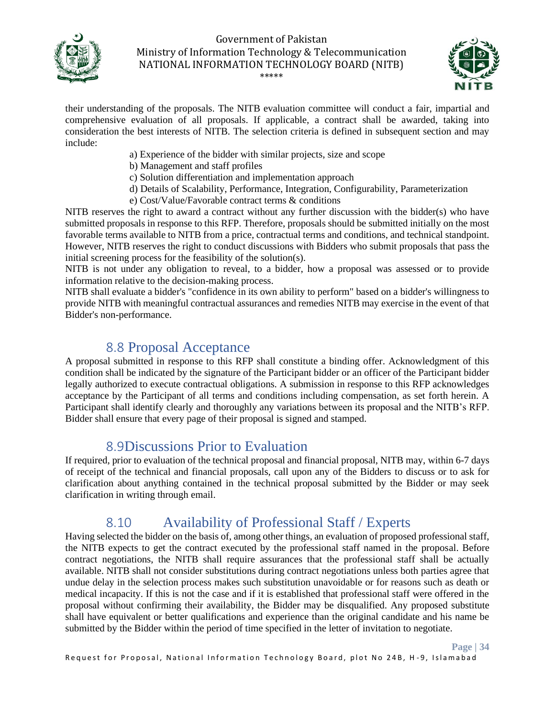



their understanding of the proposals. The NITB evaluation committee will conduct a fair, impartial and comprehensive evaluation of all proposals. If applicable, a contract shall be awarded, taking into consideration the best interests of NITB. The selection criteria is defined in subsequent section and may include:

- a) Experience of the bidder with similar projects, size and scope
- b) Management and staff profiles
- c) Solution differentiation and implementation approach
- d) Details of Scalability, Performance, Integration, Configurability, Parameterization
- e) Cost/Value/Favorable contract terms & conditions

NITB reserves the right to award a contract without any further discussion with the bidder(s) who have submitted proposals in response to this RFP. Therefore, proposals should be submitted initially on the most favorable terms available to NITB from a price, contractual terms and conditions, and technical standpoint. However, NITB reserves the right to conduct discussions with Bidders who submit proposals that pass the initial screening process for the feasibility of the solution(s).

NITB is not under any obligation to reveal, to a bidder, how a proposal was assessed or to provide information relative to the decision-making process.

NITB shall evaluate a bidder's "confidence in its own ability to perform" based on a bidder's willingness to provide NITB with meaningful contractual assurances and remedies NITB may exercise in the event of that Bidder's non-performance.

### <span id="page-33-0"></span>8.8 Proposal Acceptance

A proposal submitted in response to this RFP shall constitute a binding offer. Acknowledgment of this condition shall be indicated by the signature of the Participant bidder or an officer of the Participant bidder legally authorized to execute contractual obligations. A submission in response to this RFP acknowledges acceptance by the Participant of all terms and conditions including compensation, as set forth herein. A Participant shall identify clearly and thoroughly any variations between its proposal and the NITB's RFP. Bidder shall ensure that every page of their proposal is signed and stamped.

### 8.9Discussions Prior to Evaluation

<span id="page-33-1"></span>If required, prior to evaluation of the technical proposal and financial proposal, NITB may, within 6-7 days of receipt of the technical and financial proposals, call upon any of the Bidders to discuss or to ask for clarification about anything contained in the technical proposal submitted by the Bidder or may seek clarification in writing through email.

### 8.10 Availability of Professional Staff / Experts

<span id="page-33-2"></span>Having selected the bidder on the basis of, among other things, an evaluation of proposed professional staff, the NITB expects to get the contract executed by the professional staff named in the proposal. Before contract negotiations, the NITB shall require assurances that the professional staff shall be actually available. NITB shall not consider substitutions during contract negotiations unless both parties agree that undue delay in the selection process makes such substitution unavoidable or for reasons such as death or medical incapacity. If this is not the case and if it is established that professional staff were offered in the proposal without confirming their availability, the Bidder may be disqualified. Any proposed substitute shall have equivalent or better qualifications and experience than the original candidate and his name be submitted by the Bidder within the period of time specified in the letter of invitation to negotiate.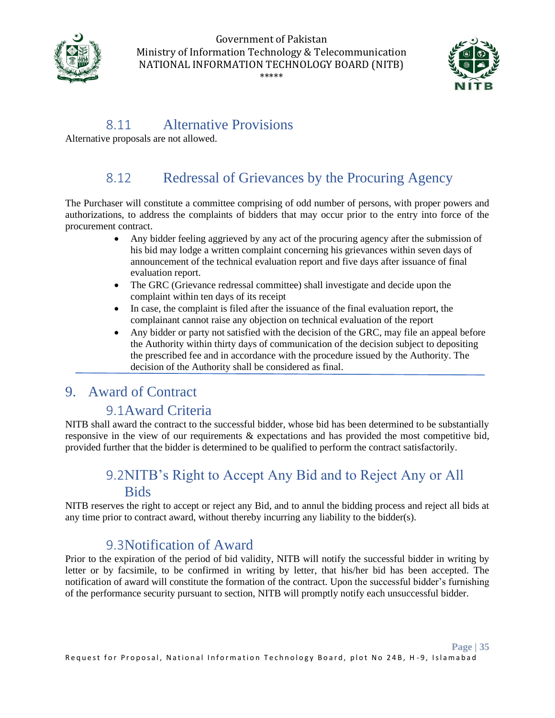



### 8.11 Alternative Provisions

<span id="page-34-0"></span>Alternative proposals are not allowed.

### 8.12 Redressal of Grievances by the Procuring Agency

<span id="page-34-1"></span>The Purchaser will constitute a committee comprising of odd number of persons, with proper powers and authorizations, to address the complaints of bidders that may occur prior to the entry into force of the procurement contract.

- Any bidder feeling aggrieved by any act of the procuring agency after the submission of his bid may lodge a written complaint concerning his grievances within seven days of announcement of the technical evaluation report and five days after issuance of final evaluation report.
- The GRC (Grievance redressal committee) shall investigate and decide upon the complaint within ten days of its receipt
- In case, the complaint is filed after the issuance of the final evaluation report, the complainant cannot raise any objection on technical evaluation of the report
- Any bidder or party not satisfied with the decision of the GRC, may file an appeal before the Authority within thirty days of communication of the decision subject to depositing the prescribed fee and in accordance with the procedure issued by the Authority. The decision of the Authority shall be considered as final.

### <span id="page-34-3"></span><span id="page-34-2"></span>9. Award of Contract

### 9.1Award Criteria

NITB shall award the contract to the successful bidder, whose bid has been determined to be substantially responsive in the view of our requirements & expectations and has provided the most competitive bid, provided further that the bidder is determined to be qualified to perform the contract satisfactorily.

## 9.2NITB's Right to Accept Any Bid and to Reject Any or All Bids

<span id="page-34-4"></span>NITB reserves the right to accept or reject any Bid, and to annul the bidding process and reject all bids at any time prior to contract award, without thereby incurring any liability to the bidder(s).

### 9.3Notification of Award

<span id="page-34-5"></span>Prior to the expiration of the period of bid validity, NITB will notify the successful bidder in writing by letter or by facsimile, to be confirmed in writing by letter, that his/her bid has been accepted. The notification of award will constitute the formation of the contract. Upon the successful bidder's furnishing of the performance security pursuant to section, NITB will promptly notify each unsuccessful bidder.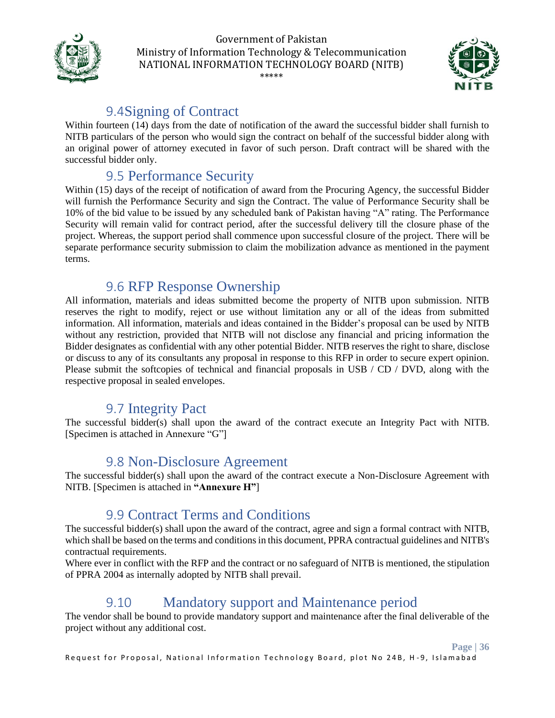



### 9.4Signing of Contract

<span id="page-35-0"></span>Within fourteen (14) days from the date of notification of the award the successful bidder shall furnish to NITB particulars of the person who would sign the contract on behalf of the successful bidder along with an original power of attorney executed in favor of such person. Draft contract will be shared with the successful bidder only.

### <span id="page-35-1"></span>9.5 Performance Security

Within (15) days of the receipt of notification of award from the Procuring Agency, the successful Bidder will furnish the Performance Security and sign the Contract. The value of Performance Security shall be 10% of the bid value to be issued by any scheduled bank of Pakistan having "A" rating. The Performance Security will remain valid for contract period, after the successful delivery till the closure phase of the project. Whereas, the support period shall commence upon successful closure of the project. There will be separate performance security submission to claim the mobilization advance as mentioned in the payment terms.

### <span id="page-35-2"></span>9.6 RFP Response Ownership

All information, materials and ideas submitted become the property of NITB upon submission. NITB reserves the right to modify, reject or use without limitation any or all of the ideas from submitted information. All information, materials and ideas contained in the Bidder's proposal can be used by NITB without any restriction, provided that NITB will not disclose any financial and pricing information the Bidder designates as confidential with any other potential Bidder. NITB reserves the right to share, disclose or discuss to any of its consultants any proposal in response to this RFP in order to secure expert opinion. Please submit the softcopies of technical and financial proposals in USB / CD / DVD, along with the respective proposal in sealed envelopes.

### <span id="page-35-3"></span>9.7 Integrity Pact

The successful bidder(s) shall upon the award of the contract execute an Integrity Pact with NITB. [Specimen is attached in Annexure "G"]

### <span id="page-35-4"></span>9.8 Non-Disclosure Agreement

The successful bidder(s) shall upon the award of the contract execute a Non-Disclosure Agreement with NITB. [Specimen is attached in **"Annexure H"**]

### <span id="page-35-5"></span>9.9 Contract Terms and Conditions

The successful bidder(s) shall upon the award of the contract, agree and sign a formal contract with NITB, which shall be based on the terms and conditions in this document, PPRA contractual guidelines and NITB's contractual requirements.

Where ever in conflict with the RFP and the contract or no safeguard of NITB is mentioned, the stipulation of PPRA 2004 as internally adopted by NITB shall prevail.

### 9.10 Mandatory support and Maintenance period

<span id="page-35-6"></span>The vendor shall be bound to provide mandatory support and maintenance after the final deliverable of the project without any additional cost.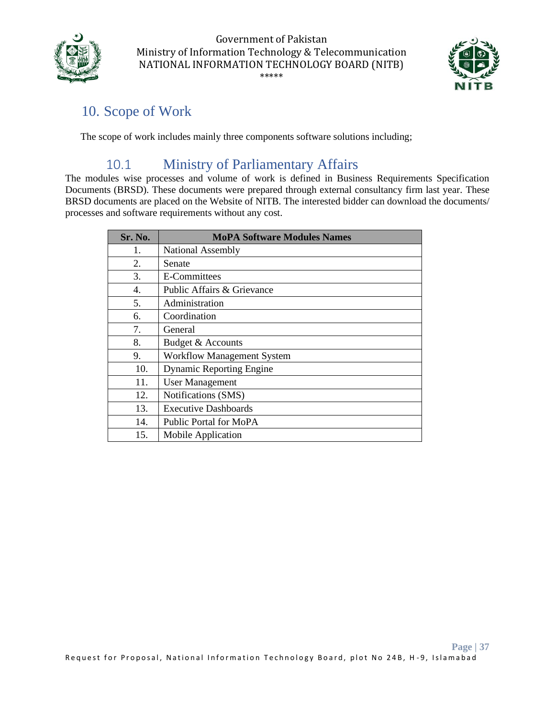



### <span id="page-36-0"></span>10. Scope of Work

The scope of work includes mainly three components software solutions including;

### 10.1 Ministry of Parliamentary Affairs

<span id="page-36-1"></span>The modules wise processes and volume of work is defined in Business Requirements Specification Documents (BRSD). These documents were prepared through external consultancy firm last year. These BRSD documents are placed on the Website of NITB. The interested bidder can download the documents/ processes and software requirements without any cost.

| Sr. No. | <b>MoPA Software Modules Names</b> |
|---------|------------------------------------|
| 1.      | National Assembly                  |
| 2.      | Senate                             |
| 3.      | E-Committees                       |
| 4.      | Public Affairs & Grievance         |
| 5.      | Administration                     |
| 6.      | Coordination                       |
| 7.      | General                            |
| 8.      | Budget & Accounts                  |
| 9.      | <b>Workflow Management System</b>  |
| 10.     | <b>Dynamic Reporting Engine</b>    |
| 11.     | <b>User Management</b>             |
| 12.     | Notifications (SMS)                |
| 13.     | <b>Executive Dashboards</b>        |
| 14.     | Public Portal for MoPA             |
| 15.     | Mobile Application                 |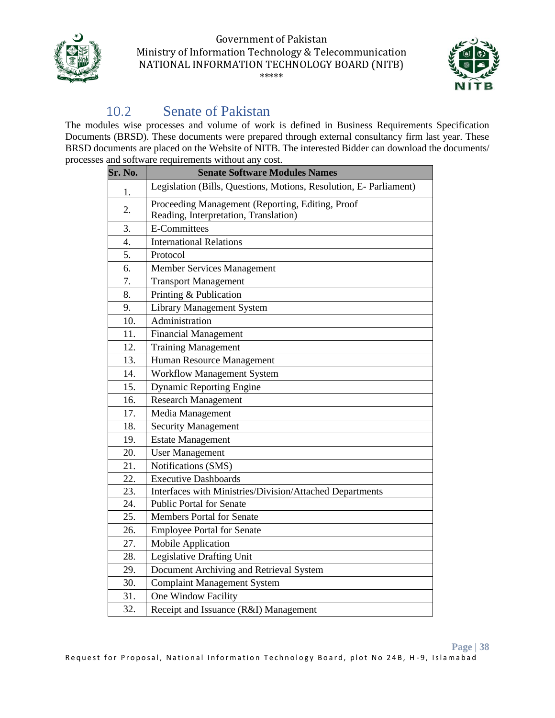



## 10.2 Senate of Pakistan

<span id="page-37-0"></span>The modules wise processes and volume of work is defined in Business Requirements Specification Documents (BRSD). These documents were prepared through external consultancy firm last year. These BRSD documents are placed on the Website of NITB. The interested Bidder can download the documents/ processes and software requirements without any cost.

| Sr. No.          | <b>Senate Software Modules Names</b>                                                      |
|------------------|-------------------------------------------------------------------------------------------|
| 1.               | Legislation (Bills, Questions, Motions, Resolution, E- Parliament)                        |
| 2.               | Proceeding Management (Reporting, Editing, Proof<br>Reading, Interpretation, Translation) |
| 3.               | <b>E-Committees</b>                                                                       |
| $\overline{4}$ . | <b>International Relations</b>                                                            |
| 5.               | Protocol                                                                                  |
| 6.               | <b>Member Services Management</b>                                                         |
| 7.               | <b>Transport Management</b>                                                               |
| 8.               | Printing & Publication                                                                    |
| 9.               | <b>Library Management System</b>                                                          |
| 10.              | Administration                                                                            |
| 11.              | <b>Financial Management</b>                                                               |
| 12.              | <b>Training Management</b>                                                                |
| 13.              | Human Resource Management                                                                 |
| 14.              | <b>Workflow Management System</b>                                                         |
| 15.              | <b>Dynamic Reporting Engine</b>                                                           |
| 16.              | <b>Research Management</b>                                                                |
| 17.              | Media Management                                                                          |
| 18.              | <b>Security Management</b>                                                                |
| 19.              | <b>Estate Management</b>                                                                  |
| 20.              | <b>User Management</b>                                                                    |
| 21.              | Notifications (SMS)                                                                       |
| 22.              | <b>Executive Dashboards</b>                                                               |
| 23.              | Interfaces with Ministries/Division/Attached Departments                                  |
| 24.              | <b>Public Portal for Senate</b>                                                           |
| 25.              | <b>Members Portal for Senate</b>                                                          |
| 26.              | <b>Employee Portal for Senate</b>                                                         |
| 27.              | Mobile Application                                                                        |
| 28.              | Legislative Drafting Unit                                                                 |
| 29.              | Document Archiving and Retrieval System                                                   |
| 30.              | <b>Complaint Management System</b>                                                        |
| 31.              | One Window Facility                                                                       |
| 32.              | Receipt and Issuance (R&I) Management                                                     |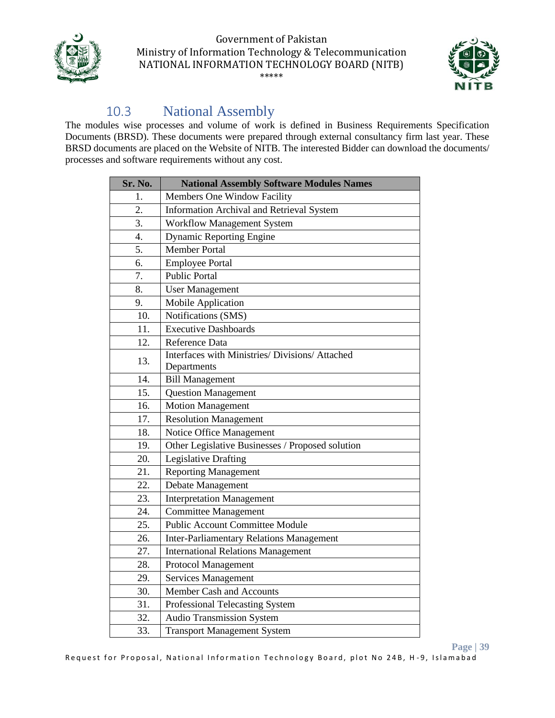



## 10.3 National Assembly

<span id="page-38-0"></span>The modules wise processes and volume of work is defined in Business Requirements Specification Documents (BRSD). These documents were prepared through external consultancy firm last year. These BRSD documents are placed on the Website of NITB. The interested Bidder can download the documents/ processes and software requirements without any cost.

| Sr. No. | <b>National Assembly Software Modules Names</b>  |
|---------|--------------------------------------------------|
| 1.      | Members One Window Facility                      |
| 2.      | Information Archival and Retrieval System        |
| 3.      | Workflow Management System                       |
| 4.      | <b>Dynamic Reporting Engine</b>                  |
| 5.      | <b>Member Portal</b>                             |
| 6.      | <b>Employee Portal</b>                           |
| 7.      | <b>Public Portal</b>                             |
| 8.      | <b>User Management</b>                           |
| 9.      | <b>Mobile Application</b>                        |
| 10.     | Notifications (SMS)                              |
| 11.     | <b>Executive Dashboards</b>                      |
| 12.     | Reference Data                                   |
| 13.     | Interfaces with Ministries/ Divisions/ Attached  |
|         | Departments                                      |
| 14.     | <b>Bill Management</b>                           |
| 15.     | <b>Question Management</b>                       |
| 16.     | <b>Motion Management</b>                         |
| 17.     | <b>Resolution Management</b>                     |
| 18.     | Notice Office Management                         |
| 19.     | Other Legislative Businesses / Proposed solution |
| 20.     | <b>Legislative Drafting</b>                      |
| 21.     | <b>Reporting Management</b>                      |
| 22.     | Debate Management                                |
| 23.     | <b>Interpretation Management</b>                 |
| 24.     | <b>Committee Management</b>                      |
| 25.     | <b>Public Account Committee Module</b>           |
| 26.     | <b>Inter-Parliamentary Relations Management</b>  |
| 27.     | <b>International Relations Management</b>        |
| 28.     | <b>Protocol Management</b>                       |
| 29.     | <b>Services Management</b>                       |
| 30.     | Member Cash and Accounts                         |
| 31.     | Professional Telecasting System                  |
| 32.     | <b>Audio Transmission System</b>                 |
| 33.     | <b>Transport Management System</b>               |

**Page | 39**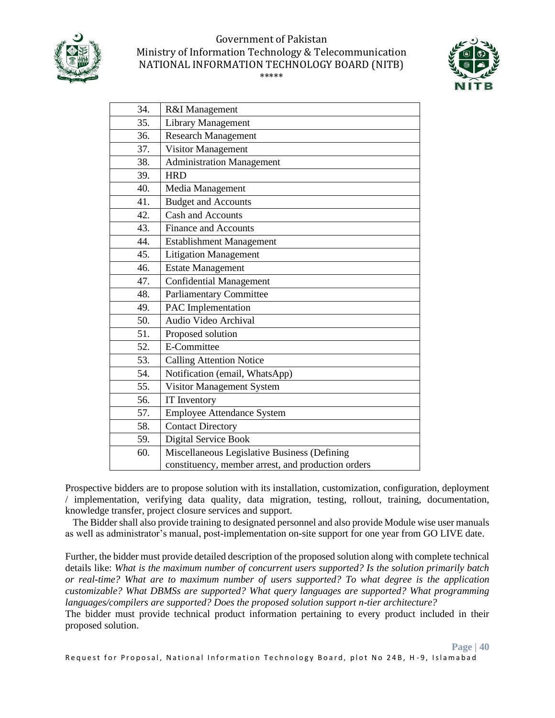



| 34. | R&I Management                                     |
|-----|----------------------------------------------------|
| 35. | <b>Library Management</b>                          |
| 36. | <b>Research Management</b>                         |
| 37. | Visitor Management                                 |
| 38. | <b>Administration Management</b>                   |
| 39. | <b>HRD</b>                                         |
| 40. | Media Management                                   |
| 41. | <b>Budget and Accounts</b>                         |
| 42. | Cash and Accounts                                  |
| 43. | <b>Finance and Accounts</b>                        |
| 44. | <b>Establishment Management</b>                    |
| 45. | <b>Litigation Management</b>                       |
| 46. | <b>Estate Management</b>                           |
| 47. | <b>Confidential Management</b>                     |
| 48. | <b>Parliamentary Committee</b>                     |
| 49. | PAC Implementation                                 |
| 50. | Audio Video Archival                               |
| 51. | Proposed solution                                  |
| 52. | E-Committee                                        |
| 53. | <b>Calling Attention Notice</b>                    |
| 54. | Notification (email, WhatsApp)                     |
| 55. | Visitor Management System                          |
| 56. | IT Inventory                                       |
| 57. | <b>Employee Attendance System</b>                  |
| 58. | <b>Contact Directory</b>                           |
| 59. | Digital Service Book                               |
| 60. | Miscellaneous Legislative Business (Defining       |
|     | constituency, member arrest, and production orders |

Prospective bidders are to propose solution with its installation, customization, configuration, deployment / implementation, verifying data quality, data migration, testing, rollout, training, documentation, knowledge transfer, project closure services and support.

 The Bidder shall also provide training to designated personnel and also provide Module wise user manuals as well as administrator's manual, post-implementation on-site support for one year from GO LIVE date.

Further, the bidder must provide detailed description of the proposed solution along with complete technical details like: *What is the maximum number of concurrent users supported? Is the solution primarily batch or real-time? What are to maximum number of users supported? To what degree is the application customizable? What DBMSs are supported? What query languages are supported? What programming languages/compilers are supported? Does the proposed solution support n-tier architecture?* 

The bidder must provide technical product information pertaining to every product included in their proposed solution.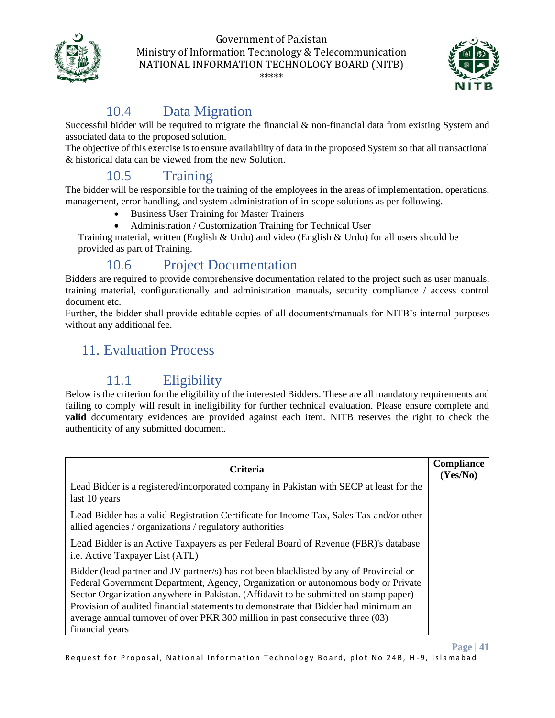



**Page | 41**

## 10.4 Data Migration

<span id="page-40-0"></span>Successful bidder will be required to migrate the financial & non-financial data from existing System and associated data to the proposed solution.

The objective of this exercise is to ensure availability of data in the proposed System so that all transactional & historical data can be viewed from the new Solution.

## 10.5 Training

<span id="page-40-1"></span>The bidder will be responsible for the training of the employees in the areas of implementation, operations, management, error handling, and system administration of in-scope solutions as per following.

- Business User Training for Master Trainers
- Administration / Customization Training for Technical User

Training material, written (English & Urdu) and video (English & Urdu) for all users should be provided as part of Training.

### 10.6 Project Documentation

<span id="page-40-2"></span>Bidders are required to provide comprehensive documentation related to the project such as user manuals, training material, configurationally and administration manuals, security compliance / access control document etc.

<span id="page-40-3"></span>Further, the bidder shall provide editable copies of all documents/manuals for NITB's internal purposes without any additional fee.

### 11. Evaluation Process

### 11.1 Eligibility

<span id="page-40-4"></span>Below is the criterion for the eligibility of the interested Bidders. These are all mandatory requirements and failing to comply will result in ineligibility for further technical evaluation. Please ensure complete and **valid** documentary evidences are provided against each item. NITB reserves the right to check the authenticity of any submitted document.

| <b>Criteria</b>                                                                                                                                                                                                                                                      | <b>Compliance</b><br>(Yes/No) |
|----------------------------------------------------------------------------------------------------------------------------------------------------------------------------------------------------------------------------------------------------------------------|-------------------------------|
| Lead Bidder is a registered/incorporated company in Pakistan with SECP at least for the<br>last 10 years                                                                                                                                                             |                               |
| Lead Bidder has a valid Registration Certificate for Income Tax, Sales Tax and/or other<br>allied agencies / organizations / regulatory authorities                                                                                                                  |                               |
| Lead Bidder is an Active Taxpayers as per Federal Board of Revenue (FBR)'s database<br>i.e. Active Taxpayer List (ATL)                                                                                                                                               |                               |
| Bidder (lead partner and JV partner/s) has not been blacklisted by any of Provincial or<br>Federal Government Department, Agency, Organization or autonomous body or Private<br>Sector Organization anywhere in Pakistan. (Affidavit to be submitted on stamp paper) |                               |
| Provision of audited financial statements to demonstrate that Bidder had minimum an<br>average annual turnover of over PKR 300 million in past consecutive three (03)<br>financial years                                                                             |                               |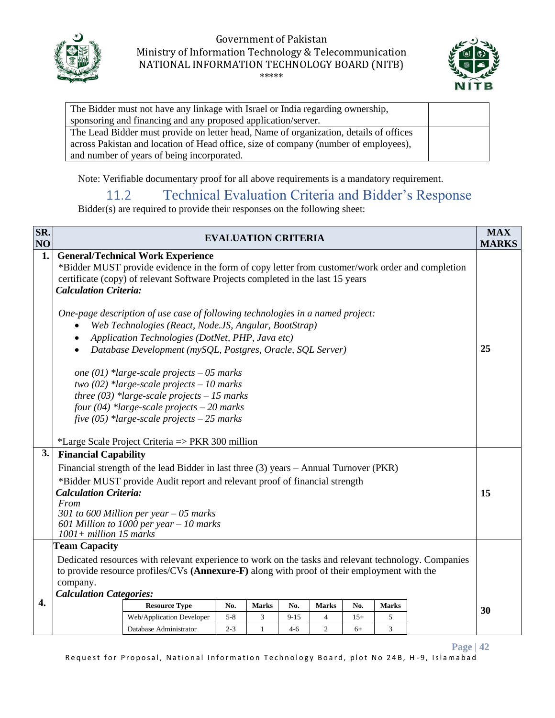



| The Bidder must not have any linkage with Israel or India regarding ownership,        |  |
|---------------------------------------------------------------------------------------|--|
| sponsoring and financing and any proposed application/server.                         |  |
| The Lead Bidder must provide on letter head, Name of organization, details of offices |  |
| across Pakistan and location of Head office, size of company (number of employees),   |  |
| and number of years of being incorporated.                                            |  |

<span id="page-41-0"></span>Note: Verifiable documentary proof for all above requirements is a mandatory requirement.

### 11.2 Technical Evaluation Criteria and Bidder's Response

Bidder(s) are required to provide their responses on the following sheet:

| SR.<br>NO |                                                                                                                                                                                                                                                                                                                                                                                                                                                                                                                                                                                                                                                                                                                                                                                       | <b>EVALUATION CRITERIA</b> |  |  |  |  |    |  | <b>MAX</b><br><b>MARKS</b> |
|-----------|---------------------------------------------------------------------------------------------------------------------------------------------------------------------------------------------------------------------------------------------------------------------------------------------------------------------------------------------------------------------------------------------------------------------------------------------------------------------------------------------------------------------------------------------------------------------------------------------------------------------------------------------------------------------------------------------------------------------------------------------------------------------------------------|----------------------------|--|--|--|--|----|--|----------------------------|
| 1.        | <b>General/Technical Work Experience</b><br>*Bidder MUST provide evidence in the form of copy letter from customer/work order and completion<br>certificate (copy) of relevant Software Projects completed in the last 15 years<br><b>Calculation Criteria:</b><br>One-page description of use case of following technologies in a named project:<br>Web Technologies (React, Node.JS, Angular, BootStrap)<br>Application Technologies (DotNet, PHP, Java etc)<br>Database Development (mySQL, Postgres, Oracle, SQL Server)<br>$\bullet$<br>one (01) *large-scale projects $-05$ marks<br>two (02) *large-scale projects $-10$ marks<br>three $(03)$ *large-scale projects - 15 marks<br>four $(04)$ *large-scale projects – 20 marks<br>five (05) *large-scale projects $-25$ marks |                            |  |  |  |  | 25 |  |                            |
| 3.        | *Large Scale Project Criteria => PKR 300 million<br><b>Financial Capability</b><br>Financial strength of the lead Bidder in last three (3) years – Annual Turnover (PKR)<br>*Bidder MUST provide Audit report and relevant proof of financial strength<br><b>Calculation Criteria:</b><br>From<br>301 to 600 Million per year $-05$ marks<br>601 Million to 1000 per year $-10$ marks<br>$1001 + million 15 marks$                                                                                                                                                                                                                                                                                                                                                                    |                            |  |  |  |  | 15 |  |                            |
| 4.        | <b>Team Capacity</b><br>Dedicated resources with relevant experience to work on the tasks and relevant technology. Companies<br>to provide resource profiles/CVs (Annexure-F) along with proof of their employment with the<br>company.<br><b>Calculation Categories:</b><br><b>Resource Type</b><br>No.<br>No.<br><b>Marks</b><br><b>Marks</b><br><b>Marks</b><br>No.<br>Web/Application Developer<br>$5 - 8$<br>3<br>$9 - 15$<br>$\overline{4}$<br>$15+$<br>5<br>$\overline{3}$<br>$\overline{c}$<br>Database Administrator<br>$2 - 3$<br>$\mathbf{1}$<br>$4-6$<br>$6+$                                                                                                                                                                                                             |                            |  |  |  |  | 30 |  |                            |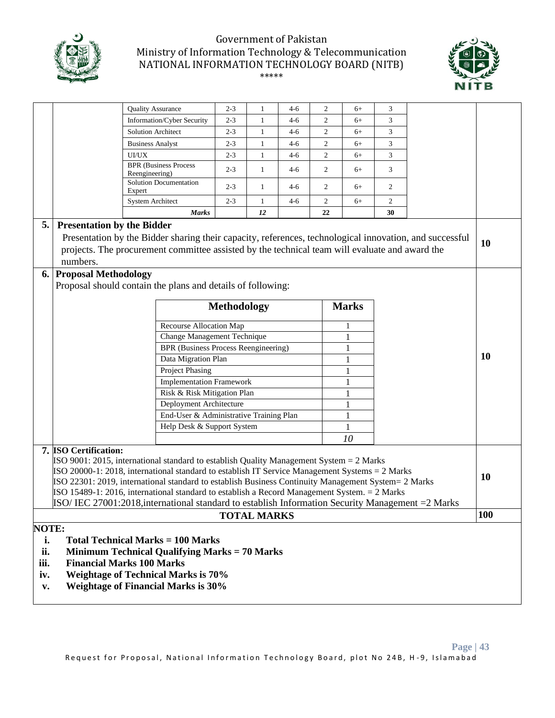



| <b>Quality Assurance</b><br>$2 - 3$<br>2<br>1<br>$4-6$<br>$6+$                                     |                                                                                                                                                                                                   |                                                                                                         |                          |              | 3       |                |              |           |           |    |
|----------------------------------------------------------------------------------------------------|---------------------------------------------------------------------------------------------------------------------------------------------------------------------------------------------------|---------------------------------------------------------------------------------------------------------|--------------------------|--------------|---------|----------------|--------------|-----------|-----------|----|
|                                                                                                    |                                                                                                                                                                                                   | Information/Cyber Security                                                                              | $2 - 3$                  | 1            | $4-6$   | 2              | $6+$         | 3         |           |    |
|                                                                                                    |                                                                                                                                                                                                   | Solution Architect                                                                                      | $2 - 3$                  | $\mathbf{1}$ | $4 - 6$ | 2              | $6+$         | 3         |           |    |
|                                                                                                    |                                                                                                                                                                                                   | <b>Business Analyst</b>                                                                                 | $2 - 3$                  | 1            | $4-6$   | $\overline{c}$ | $6+$         | 3         |           |    |
|                                                                                                    |                                                                                                                                                                                                   | UI/UX                                                                                                   | $2 - 3$                  | 1            | $4-6$   | $\overline{c}$ | $6+$         | 3         |           |    |
|                                                                                                    |                                                                                                                                                                                                   | <b>BPR</b> (Business Process<br>Reengineering)                                                          | $2 - 3$                  | $\mathbf{1}$ | $4 - 6$ | 2              | $6+$         | 3         |           |    |
|                                                                                                    |                                                                                                                                                                                                   | Solution Documentation<br>Expert                                                                        | $2 - 3$                  | $\mathbf{1}$ | $4-6$   | 2              | $6+$         | 2         |           |    |
|                                                                                                    |                                                                                                                                                                                                   | <b>System Architect</b>                                                                                 | $2 - 3$                  | $\mathbf{1}$ | $4 - 6$ | $\overline{2}$ | $6+$         | 2         |           |    |
|                                                                                                    |                                                                                                                                                                                                   | <b>Marks</b>                                                                                            |                          | 12           |         | 22             |              | 30        |           |    |
| 5.                                                                                                 | <b>Presentation by the Bidder</b>                                                                                                                                                                 |                                                                                                         |                          |              |         |                |              |           |           |    |
|                                                                                                    |                                                                                                                                                                                                   | Presentation by the Bidder sharing their capacity, references, technological innovation, and successful |                          |              |         |                |              |           |           |    |
|                                                                                                    |                                                                                                                                                                                                   | projects. The procurement committee assisted by the technical team will evaluate and award the          |                          |              |         |                |              |           |           | 10 |
|                                                                                                    | numbers.                                                                                                                                                                                          |                                                                                                         |                          |              |         |                |              |           |           |    |
|                                                                                                    | 6. Proposal Methodology                                                                                                                                                                           |                                                                                                         |                          |              |         |                |              |           |           |    |
|                                                                                                    |                                                                                                                                                                                                   | Proposal should contain the plans and details of following:                                             |                          |              |         |                |              |           |           |    |
|                                                                                                    |                                                                                                                                                                                                   |                                                                                                         |                          |              |         |                |              |           |           |    |
|                                                                                                    |                                                                                                                                                                                                   |                                                                                                         | <b>Methodology</b>       |              |         |                | <b>Marks</b> |           |           |    |
|                                                                                                    |                                                                                                                                                                                                   | Recourse Allocation Map<br>1                                                                            |                          |              |         |                |              |           |           |    |
|                                                                                                    |                                                                                                                                                                                                   | Change Management Technique                                                                             |                          |              |         |                | 1            |           |           |    |
|                                                                                                    |                                                                                                                                                                                                   | <b>BPR</b> (Business Process Reengineering)                                                             |                          |              |         |                | $\mathbf{1}$ |           |           |    |
|                                                                                                    |                                                                                                                                                                                                   |                                                                                                         | Data Migration Plan<br>1 |              |         |                |              |           | <b>10</b> |    |
|                                                                                                    |                                                                                                                                                                                                   | Project Phasing                                                                                         |                          |              |         |                | $\mathbf{1}$ |           |           |    |
|                                                                                                    |                                                                                                                                                                                                   | <b>Implementation Framework</b>                                                                         |                          |              |         |                | $\mathbf{1}$ |           |           |    |
|                                                                                                    |                                                                                                                                                                                                   | Risk & Risk Mitigation Plan                                                                             |                          |              |         |                | 1            |           |           |    |
|                                                                                                    |                                                                                                                                                                                                   | Deployment Architecture                                                                                 |                          |              |         |                | 1            |           |           |    |
|                                                                                                    |                                                                                                                                                                                                   | End-User & Administrative Training Plan                                                                 |                          |              |         |                | $\mathbf{1}$ |           |           |    |
|                                                                                                    |                                                                                                                                                                                                   | Help Desk & Support System                                                                              |                          |              |         |                | $\mathbf{1}$ |           |           |    |
|                                                                                                    |                                                                                                                                                                                                   |                                                                                                         | 10                       |              |         |                |              |           |           |    |
|                                                                                                    | 7. ISO Certification:                                                                                                                                                                             |                                                                                                         |                          |              |         |                |              |           |           |    |
| $\text{ISO } 9001$ : 2015, international standard to establish Quality Management System = 2 Marks |                                                                                                                                                                                                   |                                                                                                         |                          |              |         |                |              |           |           |    |
|                                                                                                    | $ISO 20000-1: 2018$ , international standard to establish IT Service Management Systems = 2 Marks                                                                                                 |                                                                                                         |                          |              |         |                |              | <b>10</b> |           |    |
|                                                                                                    | ISO 22301: 2019, international standard to establish Business Continuity Management System = 2 Marks                                                                                              |                                                                                                         |                          |              |         |                |              |           |           |    |
|                                                                                                    | ISO 15489-1: 2016, international standard to establish a Record Management System. = 2 Marks<br>ISO/IEC 27001:2018, international standard to establish Information Security Management = 2 Marks |                                                                                                         |                          |              |         |                |              |           |           |    |
|                                                                                                    | 100<br><b>TOTAL MARKS</b>                                                                                                                                                                         |                                                                                                         |                          |              |         |                |              |           |           |    |
|                                                                                                    | <b>NOTE:</b>                                                                                                                                                                                      |                                                                                                         |                          |              |         |                |              |           |           |    |
|                                                                                                    |                                                                                                                                                                                                   |                                                                                                         |                          |              |         |                |              |           |           |    |
|                                                                                                    | <b>Total Technical Marks = 100 Marks</b><br>i.                                                                                                                                                    |                                                                                                         |                          |              |         |                |              |           |           |    |
| iii.                                                                                               | ii.<br><b>Minimum Technical Qualifying Marks = 70 Marks</b><br><b>Financial Marks 100 Marks</b>                                                                                                   |                                                                                                         |                          |              |         |                |              |           |           |    |
|                                                                                                    |                                                                                                                                                                                                   |                                                                                                         |                          |              |         |                |              |           |           |    |
| iv.                                                                                                |                                                                                                                                                                                                   | <b>Weightage of Technical Marks is 70%</b>                                                              |                          |              |         |                |              |           |           |    |
| v.                                                                                                 | <b>Weightage of Financial Marks is 30%</b>                                                                                                                                                        |                                                                                                         |                          |              |         |                |              |           |           |    |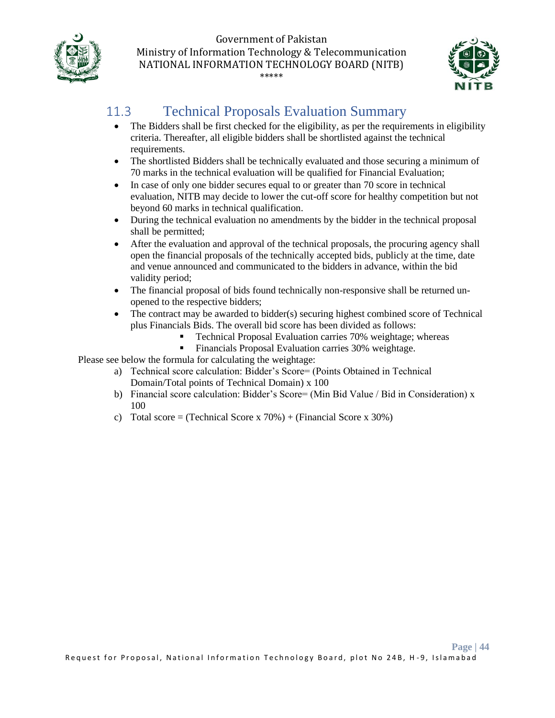



## <span id="page-43-0"></span>11.3 Technical Proposals Evaluation Summary

- The Bidders shall be first checked for the eligibility, as per the requirements in eligibility criteria. Thereafter, all eligible bidders shall be shortlisted against the technical requirements.
- The shortlisted Bidders shall be technically evaluated and those securing a minimum of 70 marks in the technical evaluation will be qualified for Financial Evaluation;
- In case of only one bidder secures equal to or greater than 70 score in technical evaluation, NITB may decide to lower the cut-off score for healthy competition but not beyond 60 marks in technical qualification.
- During the technical evaluation no amendments by the bidder in the technical proposal shall be permitted;
- After the evaluation and approval of the technical proposals, the procuring agency shall open the financial proposals of the technically accepted bids, publicly at the time, date and venue announced and communicated to the bidders in advance, within the bid validity period;
- The financial proposal of bids found technically non-responsive shall be returned unopened to the respective bidders;
- The contract may be awarded to bidder(s) securing highest combined score of Technical plus Financials Bids. The overall bid score has been divided as follows:
	- Technical Proposal Evaluation carries 70% weightage; whereas
	- **•** Financials Proposal Evaluation carries 30% weightage.

Please see below the formula for calculating the weightage:

- a) Technical score calculation: Bidder's Score= (Points Obtained in Technical Domain/Total points of Technical Domain) x 100
- b) Financial score calculation: Bidder's Score= (Min Bid Value / Bid in Consideration) x 100
- c) Total score = (Technical Score x  $70\%$ ) + (Financial Score x 30%)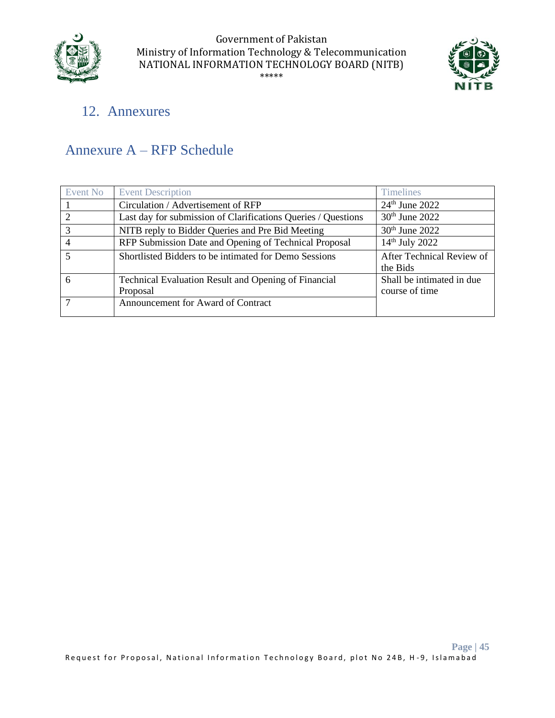



## <span id="page-44-0"></span>12. Annexures

## <span id="page-44-1"></span>Annexure A – RFP Schedule

| Event No                | <b>Event Description</b>                                                | <b>Timelines</b>                            |
|-------------------------|-------------------------------------------------------------------------|---------------------------------------------|
|                         | Circulation / Advertisement of RFP                                      | $24th$ June 2022                            |
| 2                       | Last day for submission of Clarifications Queries / Questions           | $30th$ June 2022                            |
| 3                       | NITB reply to Bidder Queries and Pre Bid Meeting                        | 30 <sup>th</sup> June 2022                  |
| $\overline{4}$          | RFP Submission Date and Opening of Technical Proposal                   | 14 <sup>th</sup> July 2022                  |
| $\overline{\mathbf{5}}$ | Shortlisted Bidders to be intimated for Demo Sessions                   | After Technical Review of<br>the Bids       |
| 6                       | <b>Technical Evaluation Result and Opening of Financial</b><br>Proposal | Shall be intimated in due<br>course of time |
|                         | Announcement for Award of Contract                                      |                                             |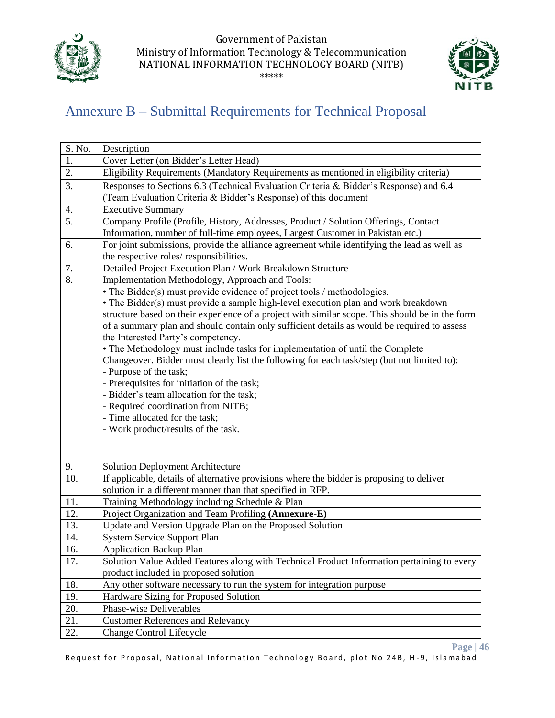



## <span id="page-45-0"></span>Annexure B – Submittal Requirements for Technical Proposal

| S. No.            | Description                                                                                     |  |  |  |  |  |  |
|-------------------|-------------------------------------------------------------------------------------------------|--|--|--|--|--|--|
| 1.                | Cover Letter (on Bidder's Letter Head)                                                          |  |  |  |  |  |  |
| 2.                | Eligibility Requirements (Mandatory Requirements as mentioned in eligibility criteria)          |  |  |  |  |  |  |
| 3.                | Responses to Sections 6.3 (Technical Evaluation Criteria & Bidder's Response) and 6.4           |  |  |  |  |  |  |
|                   | (Team Evaluation Criteria & Bidder's Response) of this document                                 |  |  |  |  |  |  |
| 4.                | <b>Executive Summary</b>                                                                        |  |  |  |  |  |  |
| $\overline{5}$ .  | Company Profile (Profile, History, Addresses, Product / Solution Offerings, Contact             |  |  |  |  |  |  |
|                   | Information, number of full-time employees, Largest Customer in Pakistan etc.)                  |  |  |  |  |  |  |
| 6.                | For joint submissions, provide the alliance agreement while identifying the lead as well as     |  |  |  |  |  |  |
|                   | the respective roles/ responsibilities.                                                         |  |  |  |  |  |  |
| 7.                | Detailed Project Execution Plan / Work Breakdown Structure                                      |  |  |  |  |  |  |
| 8.                | Implementation Methodology, Approach and Tools:                                                 |  |  |  |  |  |  |
|                   | • The Bidder(s) must provide evidence of project tools / methodologies.                         |  |  |  |  |  |  |
|                   | • The Bidder(s) must provide a sample high-level execution plan and work breakdown              |  |  |  |  |  |  |
|                   | structure based on their experience of a project with similar scope. This should be in the form |  |  |  |  |  |  |
|                   | of a summary plan and should contain only sufficient details as would be required to assess     |  |  |  |  |  |  |
|                   | the Interested Party's competency.                                                              |  |  |  |  |  |  |
|                   | • The Methodology must include tasks for implementation of until the Complete                   |  |  |  |  |  |  |
|                   | Changeover. Bidder must clearly list the following for each task/step (but not limited to):     |  |  |  |  |  |  |
|                   | - Purpose of the task;                                                                          |  |  |  |  |  |  |
|                   | - Prerequisites for initiation of the task;                                                     |  |  |  |  |  |  |
|                   | - Bidder's team allocation for the task;                                                        |  |  |  |  |  |  |
|                   | - Required coordination from NITB;                                                              |  |  |  |  |  |  |
|                   | - Time allocated for the task;                                                                  |  |  |  |  |  |  |
|                   | - Work product/results of the task.                                                             |  |  |  |  |  |  |
|                   |                                                                                                 |  |  |  |  |  |  |
|                   |                                                                                                 |  |  |  |  |  |  |
| 9.                | <b>Solution Deployment Architecture</b>                                                         |  |  |  |  |  |  |
| $\overline{10}$ . | If applicable, details of alternative provisions where the bidder is proposing to deliver       |  |  |  |  |  |  |
|                   | solution in a different manner than that specified in RFP.                                      |  |  |  |  |  |  |
| 11.               | Training Methodology including Schedule & Plan                                                  |  |  |  |  |  |  |
| 12.               | Project Organization and Team Profiling (Annexure-E)                                            |  |  |  |  |  |  |
| 13.               | Update and Version Upgrade Plan on the Proposed Solution                                        |  |  |  |  |  |  |
| 14.               | <b>System Service Support Plan</b>                                                              |  |  |  |  |  |  |
| 16.               | <b>Application Backup Plan</b>                                                                  |  |  |  |  |  |  |
| 17.               | Solution Value Added Features along with Technical Product Information pertaining to every      |  |  |  |  |  |  |
|                   | product included in proposed solution                                                           |  |  |  |  |  |  |
| 18.               | Any other software necessary to run the system for integration purpose                          |  |  |  |  |  |  |
| 19.               | Hardware Sizing for Proposed Solution                                                           |  |  |  |  |  |  |
| 20.               | Phase-wise Deliverables                                                                         |  |  |  |  |  |  |
| 21.               | <b>Customer References and Relevancy</b>                                                        |  |  |  |  |  |  |
| 22.               | <b>Change Control Lifecycle</b>                                                                 |  |  |  |  |  |  |

**Page | 46**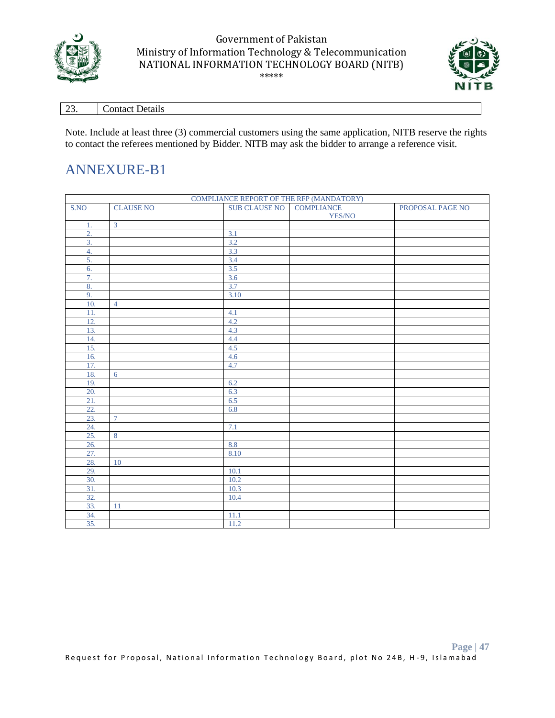



| $\sim$ | $\cdot$ ontact $\mathbf{r}$ |
|--------|-----------------------------|
| ، ب    | <b>Details</b>              |

Note. Include at least three (3) commercial customers using the same application, NITB reserve the rights to contact the referees mentioned by Bidder. NITB may ask the bidder to arrange a reference visit.

### ANNEXURE-B1

|                  | COMPLIANCE REPORT OF THE RFP (MANDATORY) |                      |                             |                  |  |  |
|------------------|------------------------------------------|----------------------|-----------------------------|------------------|--|--|
| S.NO             | <b>CLAUSE NO</b>                         | <b>SUB CLAUSE NO</b> | <b>COMPLIANCE</b><br>YES/NO | PROPOSAL PAGE NO |  |  |
| 1.               | $\overline{3}$                           |                      |                             |                  |  |  |
| $\overline{2}$ . |                                          | 3.1                  |                             |                  |  |  |
| 3.               |                                          | 3.2                  |                             |                  |  |  |
| 4.               |                                          | 3.3                  |                             |                  |  |  |
| 5.               |                                          | 3.4                  |                             |                  |  |  |
| 6.               |                                          | 3.5                  |                             |                  |  |  |
| 7.               |                                          | 3.6                  |                             |                  |  |  |
| 8.               |                                          | 3.7                  |                             |                  |  |  |
| 9.               |                                          | 3.10                 |                             |                  |  |  |
| 10.              | $\overline{4}$                           |                      |                             |                  |  |  |
| 11.              |                                          | 4.1                  |                             |                  |  |  |
| 12.              |                                          | 4.2                  |                             |                  |  |  |
| 13.              |                                          | 4.3                  |                             |                  |  |  |
| 14.              |                                          | 4.4                  |                             |                  |  |  |
| 15.              |                                          | 4.5                  |                             |                  |  |  |
| 16.              |                                          | 4.6                  |                             |                  |  |  |
| 17.              |                                          | 4.7                  |                             |                  |  |  |
| 18.              | 6                                        |                      |                             |                  |  |  |
| 19.              |                                          | 6.2                  |                             |                  |  |  |
| 20.              |                                          | 6.3                  |                             |                  |  |  |
| 21.              |                                          | 6.5                  |                             |                  |  |  |
| 22.              |                                          | 6.8                  |                             |                  |  |  |
| 23.              | $\tau$                                   |                      |                             |                  |  |  |
| 24.              |                                          | 7.1                  |                             |                  |  |  |
| 25.              | $\overline{8}$                           |                      |                             |                  |  |  |
| 26.              |                                          | 8.8                  |                             |                  |  |  |
| 27.              |                                          | 8.10                 |                             |                  |  |  |
| 28.              | 10                                       |                      |                             |                  |  |  |
| 29.              |                                          | 10.1                 |                             |                  |  |  |
| 30.              |                                          | 10.2                 |                             |                  |  |  |
| 31.              |                                          | 10.3                 |                             |                  |  |  |
| 32.              |                                          | 10.4                 |                             |                  |  |  |
| 33.              | $11\,$                                   |                      |                             |                  |  |  |
| 34.              |                                          | 11.1                 |                             |                  |  |  |
| 35.              |                                          | 11.2                 |                             |                  |  |  |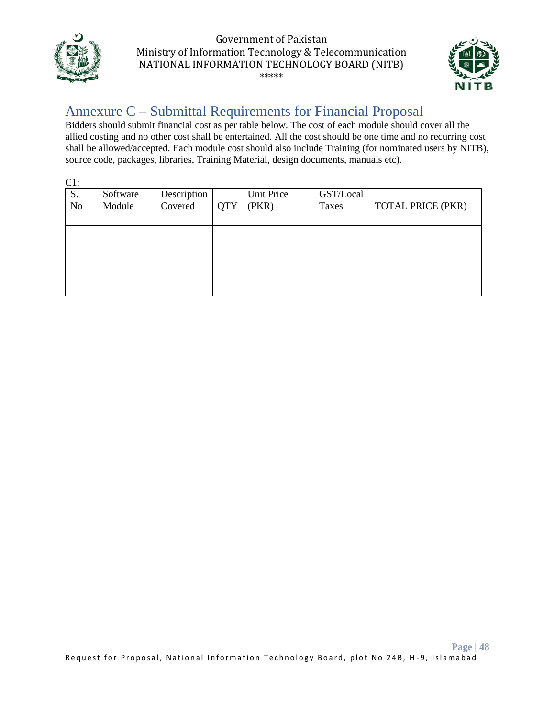



## <span id="page-47-0"></span>Annexure C – Submittal Requirements for Financial Proposal

Bidders should submit financial cost as per table below. The cost of each module should cover all the allied costing and no other cost shall be entertained. All the cost should be one time and no recurring cost shall be allowed/accepted. Each module cost should also include Training (for nominated users by NITB), source code, packages, libraries, Training Material, design documents, manuals etc).

| $C1$ :         |          |                        |            |            |           |                          |
|----------------|----------|------------------------|------------|------------|-----------|--------------------------|
| S.             | Software | Description<br>Covered |            | Unit Price | GST/Local |                          |
| N <sub>o</sub> | Module   |                        | <b>QTY</b> | (PKR)      | Taxes     | <b>TOTAL PRICE (PKR)</b> |
|                |          |                        |            |            |           |                          |
|                |          |                        |            |            |           |                          |
|                |          |                        |            |            |           |                          |
|                |          |                        |            |            |           |                          |
|                |          |                        |            |            |           |                          |
|                |          |                        |            |            |           |                          |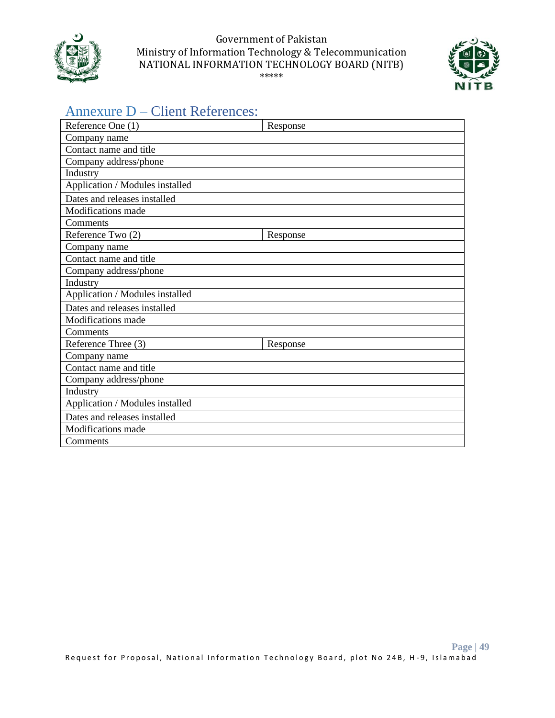



## <span id="page-48-0"></span>Annexure D – Client References:

| Reference One (1)               | Response |
|---------------------------------|----------|
| Company name                    |          |
| Contact name and title          |          |
| Company address/phone           |          |
| Industry                        |          |
| Application / Modules installed |          |
| Dates and releases installed    |          |
| <b>Modifications</b> made       |          |
| Comments                        |          |
| Reference Two (2)               | Response |
| Company name                    |          |
| Contact name and title          |          |
| Company address/phone           |          |
| Industry                        |          |
| Application / Modules installed |          |
| Dates and releases installed    |          |
| Modifications made              |          |
| Comments                        |          |
| Reference Three (3)             | Response |
| Company name                    |          |
| Contact name and title          |          |
| Company address/phone           |          |
| Industry                        |          |
| Application / Modules installed |          |
| Dates and releases installed    |          |
| Modifications made              |          |
| Comments                        |          |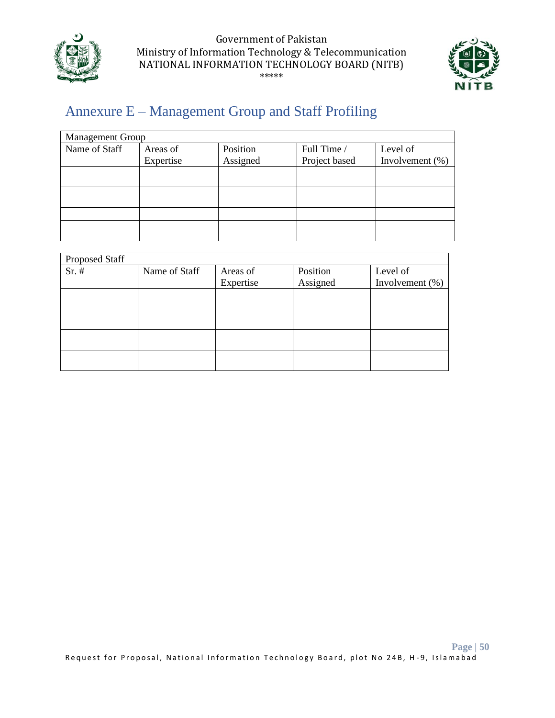



## <span id="page-49-0"></span>Annexure E – Management Group and Staff Profiling

| <b>Management Group</b> |           |          |               |                    |
|-------------------------|-----------|----------|---------------|--------------------|
| Name of Staff           | Areas of  | Position | Full Time /   | Level of           |
|                         | Expertise | Assigned | Project based | Involvement $(\%)$ |
|                         |           |          |               |                    |
|                         |           |          |               |                    |
|                         |           |          |               |                    |
|                         |           |          |               |                    |
|                         |           |          |               |                    |
|                         |           |          |               |                    |
|                         |           |          |               |                    |

| Proposed Staff |               |           |          |                 |
|----------------|---------------|-----------|----------|-----------------|
| $Sr.$ #        | Name of Staff | Areas of  | Position | Level of        |
|                |               | Expertise | Assigned | Involvement (%) |
|                |               |           |          |                 |
|                |               |           |          |                 |
|                |               |           |          |                 |
|                |               |           |          |                 |
|                |               |           |          |                 |
|                |               |           |          |                 |
|                |               |           |          |                 |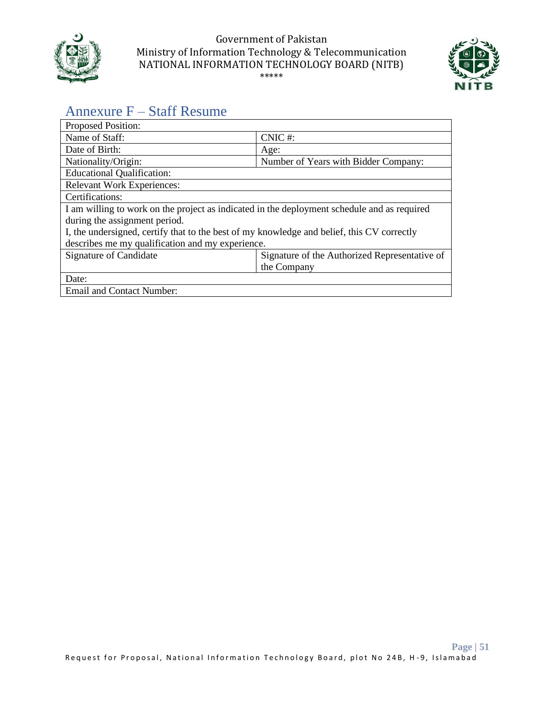



## <span id="page-50-0"></span>Annexure F – Staff Resume

| Proposed Position:                                                                          |                                               |
|---------------------------------------------------------------------------------------------|-----------------------------------------------|
| Name of Staff:                                                                              | CNIC#:                                        |
| Date of Birth:                                                                              | Age:                                          |
| Nationality/Origin:                                                                         | Number of Years with Bidder Company:          |
| <b>Educational Qualification:</b>                                                           |                                               |
| <b>Relevant Work Experiences:</b>                                                           |                                               |
| Certifications:                                                                             |                                               |
| I am willing to work on the project as indicated in the deployment schedule and as required |                                               |
| during the assignment period.                                                               |                                               |
| I, the undersigned, certify that to the best of my knowledge and belief, this CV correctly  |                                               |
| describes me my qualification and my experience.                                            |                                               |
| Signature of Candidate                                                                      | Signature of the Authorized Representative of |
|                                                                                             | the Company                                   |
| Date:                                                                                       |                                               |
| <b>Email and Contact Number:</b>                                                            |                                               |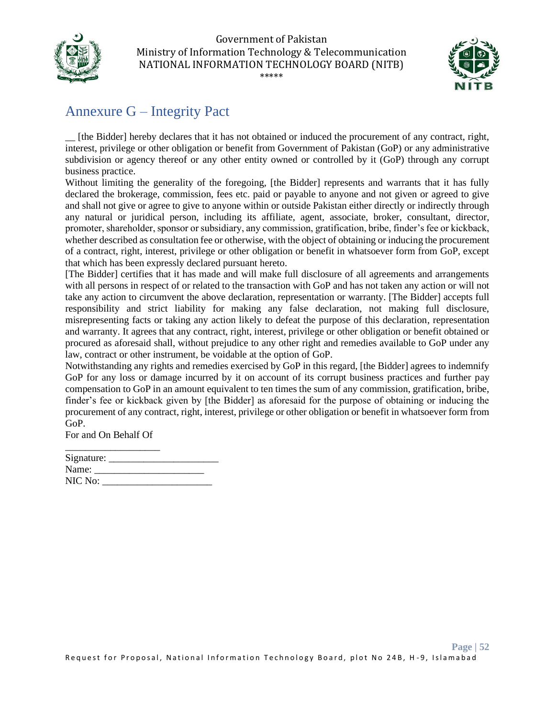



## <span id="page-51-0"></span>Annexure G – Integrity Pact

\_\_ [the Bidder] hereby declares that it has not obtained or induced the procurement of any contract, right, interest, privilege or other obligation or benefit from Government of Pakistan (GoP) or any administrative subdivision or agency thereof or any other entity owned or controlled by it (GoP) through any corrupt business practice.

Without limiting the generality of the foregoing, [the Bidder] represents and warrants that it has fully declared the brokerage, commission, fees etc. paid or payable to anyone and not given or agreed to give and shall not give or agree to give to anyone within or outside Pakistan either directly or indirectly through any natural or juridical person, including its affiliate, agent, associate, broker, consultant, director, promoter, shareholder, sponsor or subsidiary, any commission, gratification, bribe, finder's fee or kickback, whether described as consultation fee or otherwise, with the object of obtaining or inducing the procurement of a contract, right, interest, privilege or other obligation or benefit in whatsoever form from GoP, except that which has been expressly declared pursuant hereto.

[The Bidder] certifies that it has made and will make full disclosure of all agreements and arrangements with all persons in respect of or related to the transaction with GoP and has not taken any action or will not take any action to circumvent the above declaration, representation or warranty. [The Bidder] accepts full responsibility and strict liability for making any false declaration, not making full disclosure, misrepresenting facts or taking any action likely to defeat the purpose of this declaration, representation and warranty. It agrees that any contract, right, interest, privilege or other obligation or benefit obtained or procured as aforesaid shall, without prejudice to any other right and remedies available to GoP under any law, contract or other instrument, be voidable at the option of GoP.

Notwithstanding any rights and remedies exercised by GoP in this regard, [the Bidder] agrees to indemnify GoP for any loss or damage incurred by it on account of its corrupt business practices and further pay compensation to GoP in an amount equivalent to ten times the sum of any commission, gratification, bribe, finder's fee or kickback given by [the Bidder] as aforesaid for the purpose of obtaining or inducing the procurement of any contract, right, interest, privilege or other obligation or benefit in whatsoever form from GoP.

For and On Behalf Of

| Signature: |  |  |
|------------|--|--|
| Name:      |  |  |
| NIC No:    |  |  |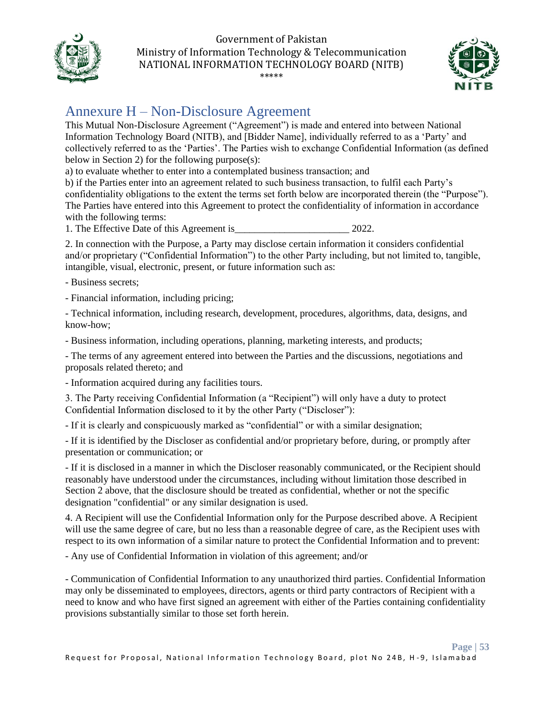



## <span id="page-52-0"></span>Annexure H – Non-Disclosure Agreement

This Mutual Non-Disclosure Agreement ("Agreement") is made and entered into between National Information Technology Board (NITB), and [Bidder Name], individually referred to as a 'Party' and collectively referred to as the 'Parties'. The Parties wish to exchange Confidential Information (as defined below in Section 2) for the following purpose(s):

a) to evaluate whether to enter into a contemplated business transaction; and

b) if the Parties enter into an agreement related to such business transaction, to fulfil each Party's confidentiality obligations to the extent the terms set forth below are incorporated therein (the "Purpose"). The Parties have entered into this Agreement to protect the confidentiality of information in accordance with the following terms:

1. The Effective Date of this Agreement is  $2022$ .

2. In connection with the Purpose, a Party may disclose certain information it considers confidential and/or proprietary ("Confidential Information") to the other Party including, but not limited to, tangible, intangible, visual, electronic, present, or future information such as:

- Business secrets;

- Financial information, including pricing;

- Technical information, including research, development, procedures, algorithms, data, designs, and know-how;

- Business information, including operations, planning, marketing interests, and products;

- The terms of any agreement entered into between the Parties and the discussions, negotiations and proposals related thereto; and

- Information acquired during any facilities tours.

3. The Party receiving Confidential Information (a "Recipient") will only have a duty to protect Confidential Information disclosed to it by the other Party ("Discloser"):

- If it is clearly and conspicuously marked as "confidential" or with a similar designation;

- If it is identified by the Discloser as confidential and/or proprietary before, during, or promptly after presentation or communication; or

- If it is disclosed in a manner in which the Discloser reasonably communicated, or the Recipient should reasonably have understood under the circumstances, including without limitation those described in Section 2 above, that the disclosure should be treated as confidential, whether or not the specific designation "confidential" or any similar designation is used.

4. A Recipient will use the Confidential Information only for the Purpose described above. A Recipient will use the same degree of care, but no less than a reasonable degree of care, as the Recipient uses with respect to its own information of a similar nature to protect the Confidential Information and to prevent:

- Any use of Confidential Information in violation of this agreement; and/or

- Communication of Confidential Information to any unauthorized third parties. Confidential Information may only be disseminated to employees, directors, agents or third party contractors of Recipient with a need to know and who have first signed an agreement with either of the Parties containing confidentiality provisions substantially similar to those set forth herein.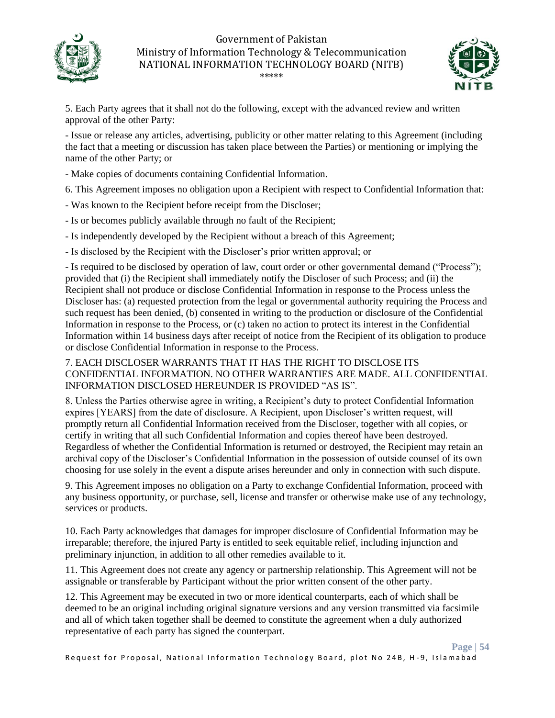



5. Each Party agrees that it shall not do the following, except with the advanced review and written approval of the other Party:

- Issue or release any articles, advertising, publicity or other matter relating to this Agreement (including the fact that a meeting or discussion has taken place between the Parties) or mentioning or implying the name of the other Party; or

- Make copies of documents containing Confidential Information.
- 6. This Agreement imposes no obligation upon a Recipient with respect to Confidential Information that:
- Was known to the Recipient before receipt from the Discloser;
- Is or becomes publicly available through no fault of the Recipient;
- Is independently developed by the Recipient without a breach of this Agreement;
- Is disclosed by the Recipient with the Discloser's prior written approval; or

- Is required to be disclosed by operation of law, court order or other governmental demand ("Process"); provided that (i) the Recipient shall immediately notify the Discloser of such Process; and (ii) the Recipient shall not produce or disclose Confidential Information in response to the Process unless the Discloser has: (a) requested protection from the legal or governmental authority requiring the Process and such request has been denied, (b) consented in writing to the production or disclosure of the Confidential Information in response to the Process, or (c) taken no action to protect its interest in the Confidential Information within 14 business days after receipt of notice from the Recipient of its obligation to produce or disclose Confidential Information in response to the Process.

#### 7. EACH DISCLOSER WARRANTS THAT IT HAS THE RIGHT TO DISCLOSE ITS CONFIDENTIAL INFORMATION. NO OTHER WARRANTIES ARE MADE. ALL CONFIDENTIAL INFORMATION DISCLOSED HEREUNDER IS PROVIDED "AS IS".

8. Unless the Parties otherwise agree in writing, a Recipient's duty to protect Confidential Information expires [YEARS] from the date of disclosure. A Recipient, upon Discloser's written request, will promptly return all Confidential Information received from the Discloser, together with all copies, or certify in writing that all such Confidential Information and copies thereof have been destroyed. Regardless of whether the Confidential Information is returned or destroyed, the Recipient may retain an archival copy of the Discloser's Confidential Information in the possession of outside counsel of its own choosing for use solely in the event a dispute arises hereunder and only in connection with such dispute.

9. This Agreement imposes no obligation on a Party to exchange Confidential Information, proceed with any business opportunity, or purchase, sell, license and transfer or otherwise make use of any technology, services or products.

10. Each Party acknowledges that damages for improper disclosure of Confidential Information may be irreparable; therefore, the injured Party is entitled to seek equitable relief, including injunction and preliminary injunction, in addition to all other remedies available to it.

11. This Agreement does not create any agency or partnership relationship. This Agreement will not be assignable or transferable by Participant without the prior written consent of the other party.

12. This Agreement may be executed in two or more identical counterparts, each of which shall be deemed to be an original including original signature versions and any version transmitted via facsimile and all of which taken together shall be deemed to constitute the agreement when a duly authorized representative of each party has signed the counterpart.